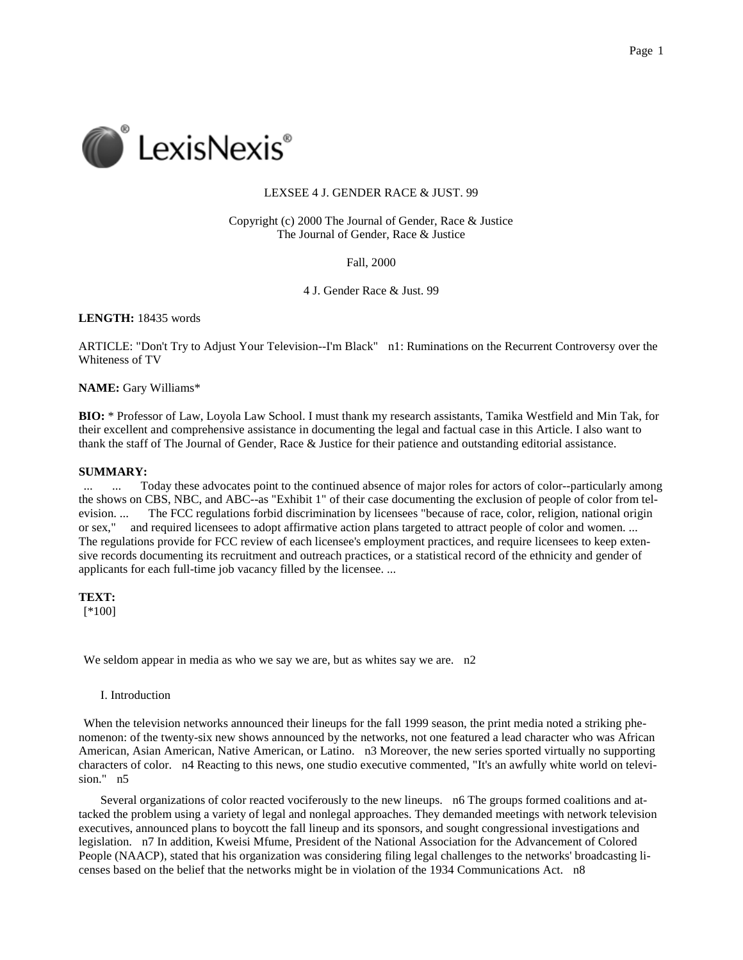

# LEXSEE 4 J. GENDER RACE & JUST. 99

Copyright (c) 2000 The Journal of Gender, Race & Justice The Journal of Gender, Race & Justice

Fall, 2000

4 J. Gender Race & Just. 99

**LENGTH:** 18435 words

ARTICLE: "Don't Try to Adjust Your Television--I'm Black" n1: Ruminations on the Recurrent Controversy over the Whiteness of TV

**NAME:** Gary Williams\*

**BIO:** \* Professor of Law, Loyola Law School. I must thank my research assistants, Tamika Westfield and Min Tak, for their excellent and comprehensive assistance in documenting the legal and factual case in this Article. I also want to thank the staff of The Journal of Gender, Race & Justice for their patience and outstanding editorial assistance.

# **SUMMARY:**

... ... Today these advocates point to the continued absence of major roles for actors of color--particularly among the shows on CBS, NBC, and ABC--as "Exhibit 1" of their case documenting the exclusion of people of color from television. ... The FCC regulations forbid discrimination by licensees "because of race, color, religion, national origin or sex," and required licensees to adopt affirmative action plans targeted to attract people of color and women. ... The regulations provide for FCC review of each licensee's employment practices, and require licensees to keep extensive records documenting its recruitment and outreach practices, or a statistical record of the ethnicity and gender of applicants for each full-time job vacancy filled by the licensee. ...

**TEXT:** [\*100]

We seldom appear in media as who we say we are, but as whites say we are. n2

I. Introduction

When the television networks announced their lineups for the fall 1999 season, the print media noted a striking phenomenon: of the twenty-six new shows announced by the networks, not one featured a lead character who was African American, Asian American, Native American, or Latino. n3 Moreover, the new series sported virtually no supporting characters of color. n4 Reacting to this news, one studio executive commented, "It's an awfully white world on television." n5

Several organizations of color reacted vociferously to the new lineups. n6 The groups formed coalitions and attacked the problem using a variety of legal and nonlegal approaches. They demanded meetings with network television executives, announced plans to boycott the fall lineup and its sponsors, and sought congressional investigations and legislation. n7 In addition, Kweisi Mfume, President of the National Association for the Advancement of Colored People (NAACP), stated that his organization was considering filing legal challenges to the networks' broadcasting licenses based on the belief that the networks might be in violation of the 1934 Communications Act. n8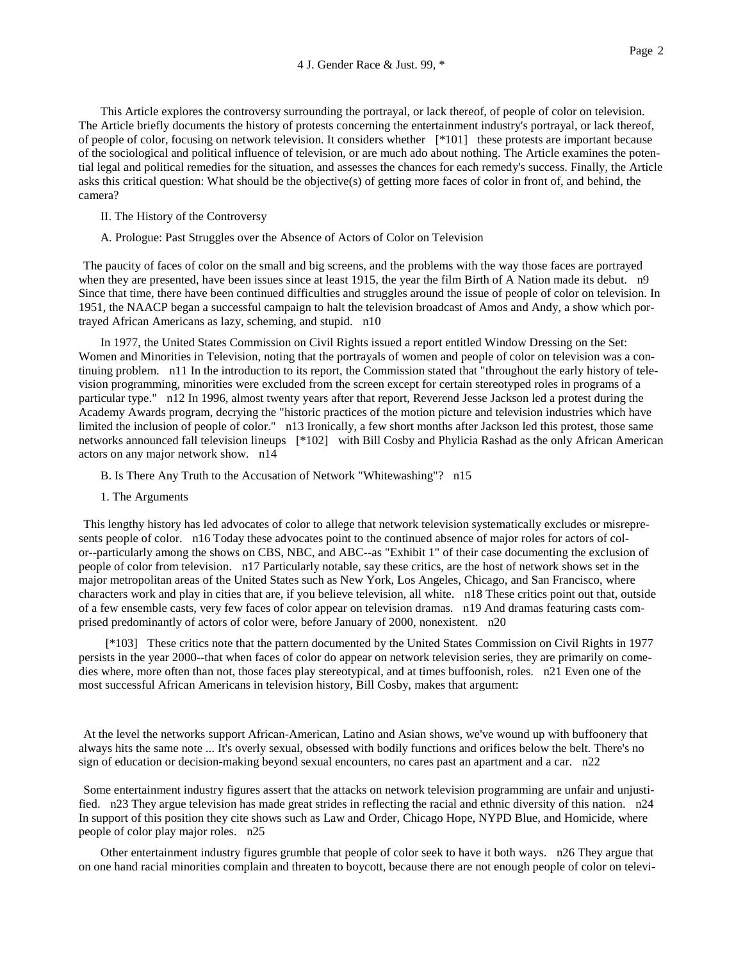This Article explores the controversy surrounding the portrayal, or lack thereof, of people of color on television. The Article briefly documents the history of protests concerning the entertainment industry's portrayal, or lack thereof, of people of color, focusing on network television. It considers whether [\*101] these protests are important because of the sociological and political influence of television, or are much ado about nothing. The Article examines the potential legal and political remedies for the situation, and assesses the chances for each remedy's success. Finally, the Article asks this critical question: What should be the objective(s) of getting more faces of color in front of, and behind, the camera?

- II. The History of the Controversy
- A. Prologue: Past Struggles over the Absence of Actors of Color on Television

The paucity of faces of color on the small and big screens, and the problems with the way those faces are portrayed when they are presented, have been issues since at least 1915, the year the film Birth of A Nation made its debut. n9 Since that time, there have been continued difficulties and struggles around the issue of people of color on television. In 1951, the NAACP began a successful campaign to halt the television broadcast of Amos and Andy, a show which portrayed African Americans as lazy, scheming, and stupid. n10

In 1977, the United States Commission on Civil Rights issued a report entitled Window Dressing on the Set: Women and Minorities in Television, noting that the portrayals of women and people of color on television was a continuing problem. n11 In the introduction to its report, the Commission stated that "throughout the early history of television programming, minorities were excluded from the screen except for certain stereotyped roles in programs of a particular type." n12 In 1996, almost twenty years after that report, Reverend Jesse Jackson led a protest during the Academy Awards program, decrying the "historic practices of the motion picture and television industries which have limited the inclusion of people of color." n13 Ironically, a few short months after Jackson led this protest, those same networks announced fall television lineups [\*102] with Bill Cosby and Phylicia Rashad as the only African American actors on any major network show. n14

- B. Is There Any Truth to the Accusation of Network "Whitewashing"? n15
- 1. The Arguments

This lengthy history has led advocates of color to allege that network television systematically excludes or misrepresents people of color. n16 Today these advocates point to the continued absence of major roles for actors of color--particularly among the shows on CBS, NBC, and ABC--as "Exhibit 1" of their case documenting the exclusion of people of color from television. n17 Particularly notable, say these critics, are the host of network shows set in the major metropolitan areas of the United States such as New York, Los Angeles, Chicago, and San Francisco, where characters work and play in cities that are, if you believe television, all white. n18 These critics point out that, outside of a few ensemble casts, very few faces of color appear on television dramas. n19 And dramas featuring casts comprised predominantly of actors of color were, before January of 2000, nonexistent. n20

[\*103] These critics note that the pattern documented by the United States Commission on Civil Rights in 1977 persists in the year 2000--that when faces of color do appear on network television series, they are primarily on comedies where, more often than not, those faces play stereotypical, and at times buffoonish, roles. n21 Even one of the most successful African Americans in television history, Bill Cosby, makes that argument:

At the level the networks support African-American, Latino and Asian shows, we've wound up with buffoonery that always hits the same note ... It's overly sexual, obsessed with bodily functions and orifices below the belt. There's no sign of education or decision-making beyond sexual encounters, no cares past an apartment and a car. n22

Some entertainment industry figures assert that the attacks on network television programming are unfair and unjustified. n23 They argue television has made great strides in reflecting the racial and ethnic diversity of this nation. n24 In support of this position they cite shows such as Law and Order, Chicago Hope, NYPD Blue, and Homicide, where people of color play major roles. n25

Other entertainment industry figures grumble that people of color seek to have it both ways. n26 They argue that on one hand racial minorities complain and threaten to boycott, because there are not enough people of color on televi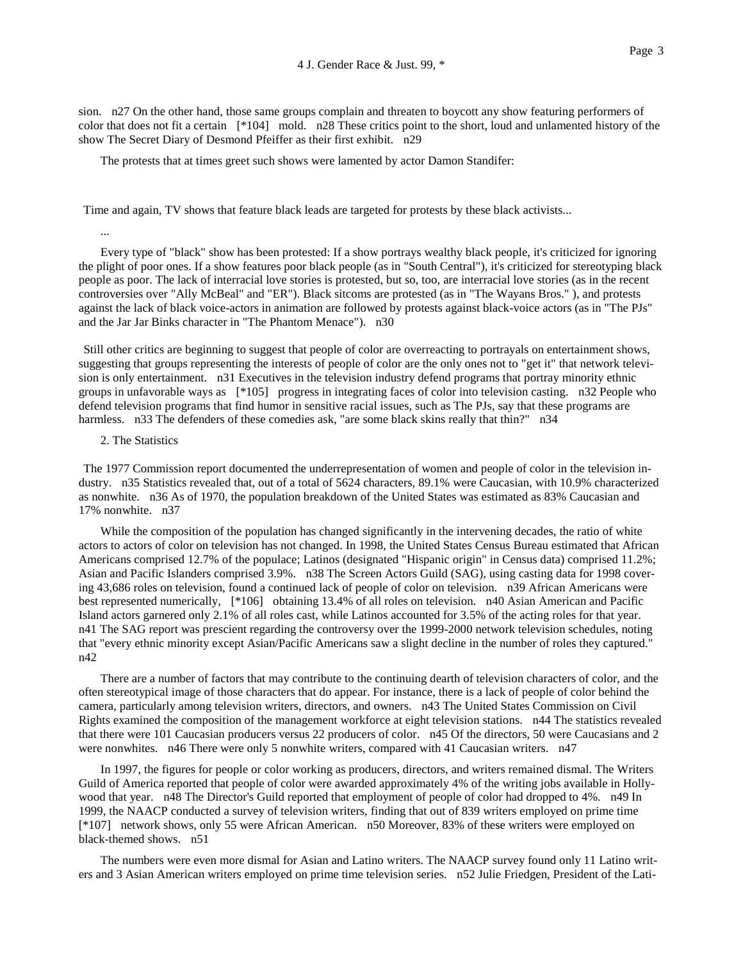sion. n27 On the other hand, those same groups complain and threaten to boycott any show featuring performers of color that does not fit a certain [\*104] mold. n28 These critics point to the short, loud and unlamented history of the show The Secret Diary of Desmond Pfeiffer as their first exhibit. n29

The protests that at times greet such shows were lamented by actor Damon Standifer:

Time and again, TV shows that feature black leads are targeted for protests by these black activists...

...

Every type of "black" show has been protested: If a show portrays wealthy black people, it's criticized for ignoring the plight of poor ones. If a show features poor black people (as in "South Central"), it's criticized for stereotyping black people as poor. The lack of interracial love stories is protested, but so, too, are interracial love stories (as in the recent controversies over "Ally McBeal" and "ER"). Black sitcoms are protested (as in "The Wayans Bros." ), and protests against the lack of black voice-actors in animation are followed by protests against black-voice actors (as in "The PJs" and the Jar Jar Binks character in "The Phantom Menace"). n30

Still other critics are beginning to suggest that people of color are overreacting to portrayals on entertainment shows, suggesting that groups representing the interests of people of color are the only ones not to "get it" that network television is only entertainment. n31 Executives in the television industry defend programs that portray minority ethnic groups in unfavorable ways as [\*105] progress in integrating faces of color into television casting. n32 People who defend television programs that find humor in sensitive racial issues, such as The PJs, say that these programs are harmless. n33 The defenders of these comedies ask, "are some black skins really that thin?" n34

# 2. The Statistics

The 1977 Commission report documented the underrepresentation of women and people of color in the television industry. n35 Statistics revealed that, out of a total of 5624 characters, 89.1% were Caucasian, with 10.9% characterized as nonwhite. n36 As of 1970, the population breakdown of the United States was estimated as 83% Caucasian and 17% nonwhite. n37

While the composition of the population has changed significantly in the intervening decades, the ratio of white actors to actors of color on television has not changed. In 1998, the United States Census Bureau estimated that African Americans comprised 12.7% of the populace; Latinos (designated "Hispanic origin" in Census data) comprised 11.2%; Asian and Pacific Islanders comprised 3.9%. n38 The Screen Actors Guild (SAG), using casting data for 1998 covering 43,686 roles on television, found a continued lack of people of color on television. n39 African Americans were best represented numerically, [\*106] obtaining 13.4% of all roles on television. n40 Asian American and Pacific Island actors garnered only 2.1% of all roles cast, while Latinos accounted for 3.5% of the acting roles for that year. n41 The SAG report was prescient regarding the controversy over the 1999-2000 network television schedules, noting that "every ethnic minority except Asian/Pacific Americans saw a slight decline in the number of roles they captured." n42

There are a number of factors that may contribute to the continuing dearth of television characters of color, and the often stereotypical image of those characters that do appear. For instance, there is a lack of people of color behind the camera, particularly among television writers, directors, and owners. n43 The United States Commission on Civil Rights examined the composition of the management workforce at eight television stations. n44 The statistics revealed that there were 101 Caucasian producers versus 22 producers of color. n45 Of the directors, 50 were Caucasians and 2 were nonwhites. n46 There were only 5 nonwhite writers, compared with 41 Caucasian writers. n47

In 1997, the figures for people or color working as producers, directors, and writers remained dismal. The Writers Guild of America reported that people of color were awarded approximately 4% of the writing jobs available in Hollywood that year. n48 The Director's Guild reported that employment of people of color had dropped to 4%. n49 In 1999, the NAACP conducted a survey of television writers, finding that out of 839 writers employed on prime time [\*107] network shows, only 55 were African American. n50 Moreover, 83% of these writers were employed on black-themed shows. n51

The numbers were even more dismal for Asian and Latino writers. The NAACP survey found only 11 Latino writers and 3 Asian American writers employed on prime time television series. n52 Julie Friedgen, President of the Lati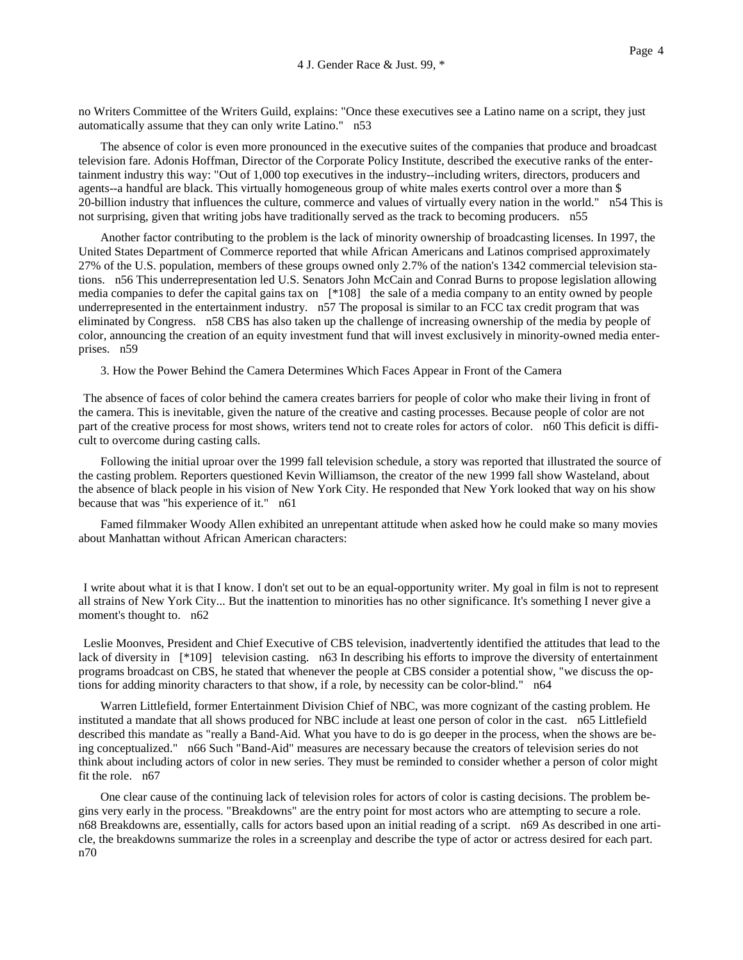no Writers Committee of the Writers Guild, explains: "Once these executives see a Latino name on a script, they just automatically assume that they can only write Latino." n53

The absence of color is even more pronounced in the executive suites of the companies that produce and broadcast television fare. Adonis Hoffman, Director of the Corporate Policy Institute, described the executive ranks of the entertainment industry this way: "Out of 1,000 top executives in the industry--including writers, directors, producers and agents--a handful are black. This virtually homogeneous group of white males exerts control over a more than \$ 20-billion industry that influences the culture, commerce and values of virtually every nation in the world." n54 This is not surprising, given that writing jobs have traditionally served as the track to becoming producers. n55

Another factor contributing to the problem is the lack of minority ownership of broadcasting licenses. In 1997, the United States Department of Commerce reported that while African Americans and Latinos comprised approximately 27% of the U.S. population, members of these groups owned only 2.7% of the nation's 1342 commercial television stations. n56 This underrepresentation led U.S. Senators John McCain and Conrad Burns to propose legislation allowing media companies to defer the capital gains tax on [\*108] the sale of a media company to an entity owned by people underrepresented in the entertainment industry. n57 The proposal is similar to an FCC tax credit program that was eliminated by Congress. n58 CBS has also taken up the challenge of increasing ownership of the media by people of color, announcing the creation of an equity investment fund that will invest exclusively in minority-owned media enterprises. n59

3. How the Power Behind the Camera Determines Which Faces Appear in Front of the Camera

The absence of faces of color behind the camera creates barriers for people of color who make their living in front of the camera. This is inevitable, given the nature of the creative and casting processes. Because people of color are not part of the creative process for most shows, writers tend not to create roles for actors of color. n60 This deficit is difficult to overcome during casting calls.

Following the initial uproar over the 1999 fall television schedule, a story was reported that illustrated the source of the casting problem. Reporters questioned Kevin Williamson, the creator of the new 1999 fall show Wasteland, about the absence of black people in his vision of New York City. He responded that New York looked that way on his show because that was "his experience of it." n61

Famed filmmaker Woody Allen exhibited an unrepentant attitude when asked how he could make so many movies about Manhattan without African American characters:

I write about what it is that I know. I don't set out to be an equal-opportunity writer. My goal in film is not to represent all strains of New York City... But the inattention to minorities has no other significance. It's something I never give a moment's thought to. n62

Leslie Moonves, President and Chief Executive of CBS television, inadvertently identified the attitudes that lead to the lack of diversity in [\*109] television casting. n63 In describing his efforts to improve the diversity of entertainment programs broadcast on CBS, he stated that whenever the people at CBS consider a potential show, "we discuss the options for adding minority characters to that show, if a role, by necessity can be color-blind." n64

Warren Littlefield, former Entertainment Division Chief of NBC, was more cognizant of the casting problem. He instituted a mandate that all shows produced for NBC include at least one person of color in the cast. n65 Littlefield described this mandate as "really a Band-Aid. What you have to do is go deeper in the process, when the shows are being conceptualized." n66 Such "Band-Aid" measures are necessary because the creators of television series do not think about including actors of color in new series. They must be reminded to consider whether a person of color might fit the role. n67

One clear cause of the continuing lack of television roles for actors of color is casting decisions. The problem begins very early in the process. "Breakdowns" are the entry point for most actors who are attempting to secure a role. n68 Breakdowns are, essentially, calls for actors based upon an initial reading of a script. n69 As described in one article, the breakdowns summarize the roles in a screenplay and describe the type of actor or actress desired for each part. n70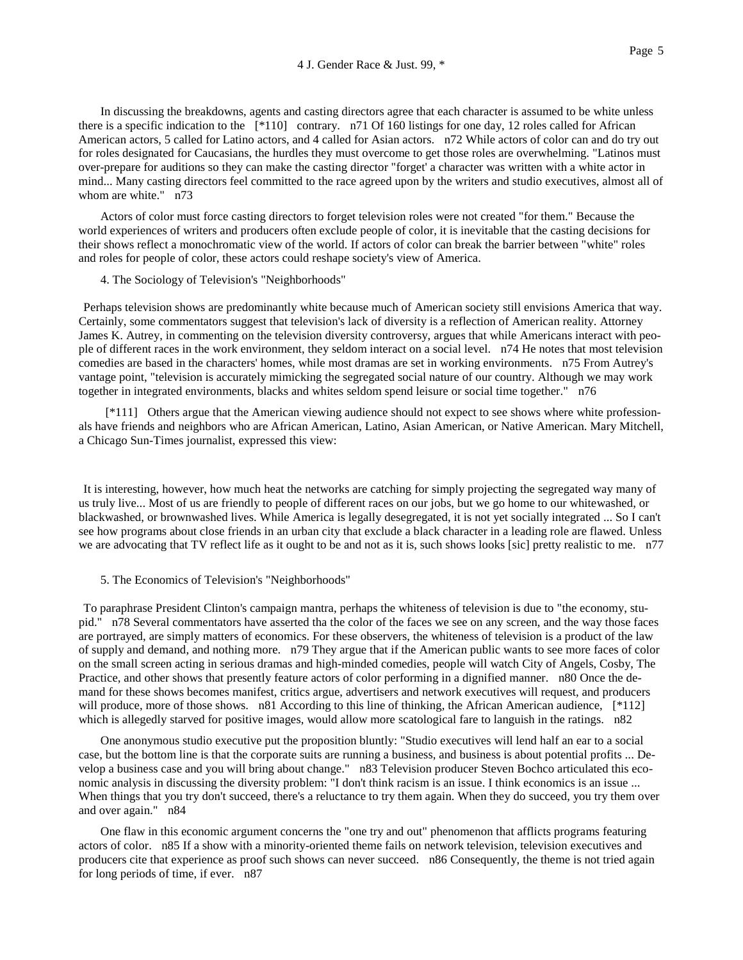In discussing the breakdowns, agents and casting directors agree that each character is assumed to be white unless there is a specific indication to the [\*110] contrary. n71 Of 160 listings for one day, 12 roles called for African American actors, 5 called for Latino actors, and 4 called for Asian actors. n72 While actors of color can and do try out for roles designated for Caucasians, the hurdles they must overcome to get those roles are overwhelming. "Latinos must over-prepare for auditions so they can make the casting director "forget' a character was written with a white actor in mind... Many casting directors feel committed to the race agreed upon by the writers and studio executives, almost all of whom are white." n73

Actors of color must force casting directors to forget television roles were not created "for them." Because the world experiences of writers and producers often exclude people of color, it is inevitable that the casting decisions for their shows reflect a monochromatic view of the world. If actors of color can break the barrier between "white" roles and roles for people of color, these actors could reshape society's view of America.

### 4. The Sociology of Television's "Neighborhoods"

Perhaps television shows are predominantly white because much of American society still envisions America that way. Certainly, some commentators suggest that television's lack of diversity is a reflection of American reality. Attorney James K. Autrey, in commenting on the television diversity controversy, argues that while Americans interact with people of different races in the work environment, they seldom interact on a social level. n74 He notes that most television comedies are based in the characters' homes, while most dramas are set in working environments. n75 From Autrey's vantage point, "television is accurately mimicking the segregated social nature of our country. Although we may work together in integrated environments, blacks and whites seldom spend leisure or social time together." n76

[\*111] Others argue that the American viewing audience should not expect to see shows where white professionals have friends and neighbors who are African American, Latino, Asian American, or Native American. Mary Mitchell, a Chicago Sun-Times journalist, expressed this view:

It is interesting, however, how much heat the networks are catching for simply projecting the segregated way many of us truly live... Most of us are friendly to people of different races on our jobs, but we go home to our whitewashed, or blackwashed, or brownwashed lives. While America is legally desegregated, it is not yet socially integrated ... So I can't see how programs about close friends in an urban city that exclude a black character in a leading role are flawed. Unless we are advocating that TV reflect life as it ought to be and not as it is, such shows looks [sic] pretty realistic to me. n77

#### 5. The Economics of Television's "Neighborhoods"

To paraphrase President Clinton's campaign mantra, perhaps the whiteness of television is due to "the economy, stupid." n78 Several commentators have asserted tha the color of the faces we see on any screen, and the way those faces are portrayed, are simply matters of economics. For these observers, the whiteness of television is a product of the law of supply and demand, and nothing more. n79 They argue that if the American public wants to see more faces of color on the small screen acting in serious dramas and high-minded comedies, people will watch City of Angels, Cosby, The Practice, and other shows that presently feature actors of color performing in a dignified manner. n80 Once the demand for these shows becomes manifest, critics argue, advertisers and network executives will request, and producers will produce, more of those shows. n81 According to this line of thinking, the African American audience, [\*112] which is allegedly starved for positive images, would allow more scatological fare to languish in the ratings. n82

One anonymous studio executive put the proposition bluntly: "Studio executives will lend half an ear to a social case, but the bottom line is that the corporate suits are running a business, and business is about potential profits ... Develop a business case and you will bring about change." n83 Television producer Steven Bochco articulated this economic analysis in discussing the diversity problem: "I don't think racism is an issue. I think economics is an issue ... When things that you try don't succeed, there's a reluctance to try them again. When they do succeed, you try them over and over again." n84

One flaw in this economic argument concerns the "one try and out" phenomenon that afflicts programs featuring actors of color. n85 If a show with a minority-oriented theme fails on network television, television executives and producers cite that experience as proof such shows can never succeed. n86 Consequently, the theme is not tried again for long periods of time, if ever. n87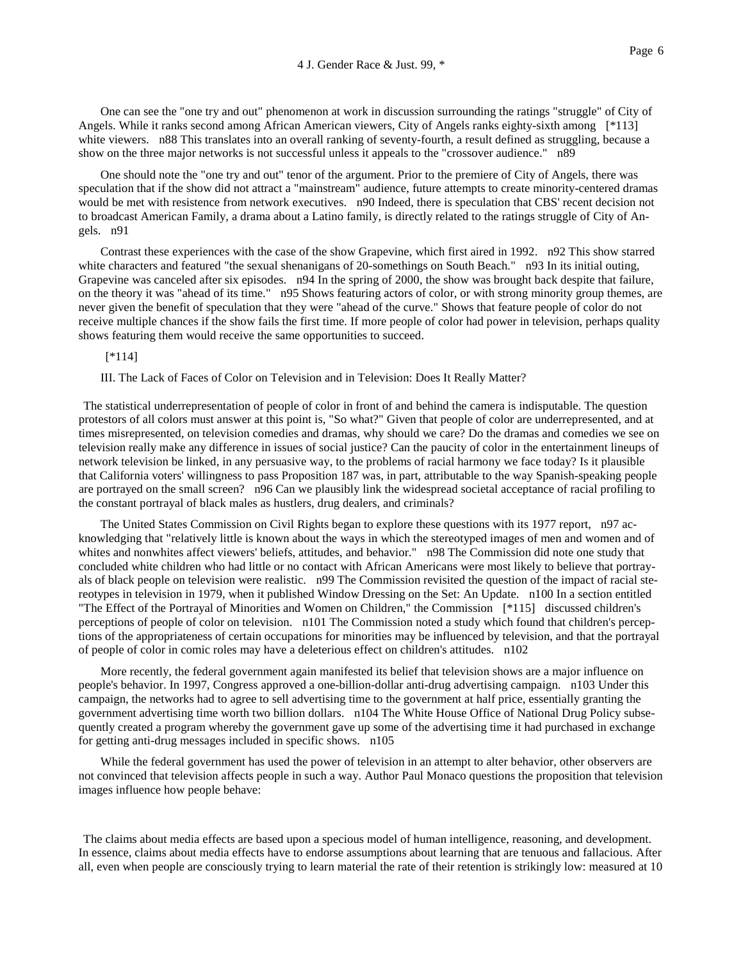One can see the "one try and out" phenomenon at work in discussion surrounding the ratings "struggle" of City of Angels. While it ranks second among African American viewers, City of Angels ranks eighty-sixth among [\*113] white viewers. n88 This translates into an overall ranking of seventy-fourth, a result defined as struggling, because a show on the three major networks is not successful unless it appeals to the "crossover audience." n89

One should note the "one try and out" tenor of the argument. Prior to the premiere of City of Angels, there was speculation that if the show did not attract a "mainstream" audience, future attempts to create minority-centered dramas would be met with resistence from network executives. n90 Indeed, there is speculation that CBS' recent decision not to broadcast American Family, a drama about a Latino family, is directly related to the ratings struggle of City of Angels. n91

Contrast these experiences with the case of the show Grapevine, which first aired in 1992. n92 This show starred white characters and featured "the sexual shenanigans of 20-somethings on South Beach." n93 In its initial outing, Grapevine was canceled after six episodes. n94 In the spring of 2000, the show was brought back despite that failure, on the theory it was "ahead of its time." n95 Shows featuring actors of color, or with strong minority group themes, are never given the benefit of speculation that they were "ahead of the curve." Shows that feature people of color do not receive multiple chances if the show fails the first time. If more people of color had power in television, perhaps quality shows featuring them would receive the same opportunities to succeed.

[\*114]

III. The Lack of Faces of Color on Television and in Television: Does It Really Matter?

The statistical underrepresentation of people of color in front of and behind the camera is indisputable. The question protestors of all colors must answer at this point is, "So what?" Given that people of color are underrepresented, and at times misrepresented, on television comedies and dramas, why should we care? Do the dramas and comedies we see on television really make any difference in issues of social justice? Can the paucity of color in the entertainment lineups of network television be linked, in any persuasive way, to the problems of racial harmony we face today? Is it plausible that California voters' willingness to pass Proposition 187 was, in part, attributable to the way Spanish-speaking people are portrayed on the small screen? n96 Can we plausibly link the widespread societal acceptance of racial profiling to the constant portrayal of black males as hustlers, drug dealers, and criminals?

The United States Commission on Civil Rights began to explore these questions with its 1977 report, n97 acknowledging that "relatively little is known about the ways in which the stereotyped images of men and women and of whites and nonwhites affect viewers' beliefs, attitudes, and behavior." n98 The Commission did note one study that concluded white children who had little or no contact with African Americans were most likely to believe that portrayals of black people on television were realistic. n99 The Commission revisited the question of the impact of racial stereotypes in television in 1979, when it published Window Dressing on the Set: An Update. n100 In a section entitled "The Effect of the Portrayal of Minorities and Women on Children," the Commission [\*115] discussed children's perceptions of people of color on television. n101 The Commission noted a study which found that children's perceptions of the appropriateness of certain occupations for minorities may be influenced by television, and that the portrayal of people of color in comic roles may have a deleterious effect on children's attitudes. n102

More recently, the federal government again manifested its belief that television shows are a major influence on people's behavior. In 1997, Congress approved a one-billion-dollar anti-drug advertising campaign. n103 Under this campaign, the networks had to agree to sell advertising time to the government at half price, essentially granting the government advertising time worth two billion dollars. n104 The White House Office of National Drug Policy subsequently created a program whereby the government gave up some of the advertising time it had purchased in exchange for getting anti-drug messages included in specific shows. n105

While the federal government has used the power of television in an attempt to alter behavior, other observers are not convinced that television affects people in such a way. Author Paul Monaco questions the proposition that television images influence how people behave:

The claims about media effects are based upon a specious model of human intelligence, reasoning, and development. In essence, claims about media effects have to endorse assumptions about learning that are tenuous and fallacious. After all, even when people are consciously trying to learn material the rate of their retention is strikingly low: measured at 10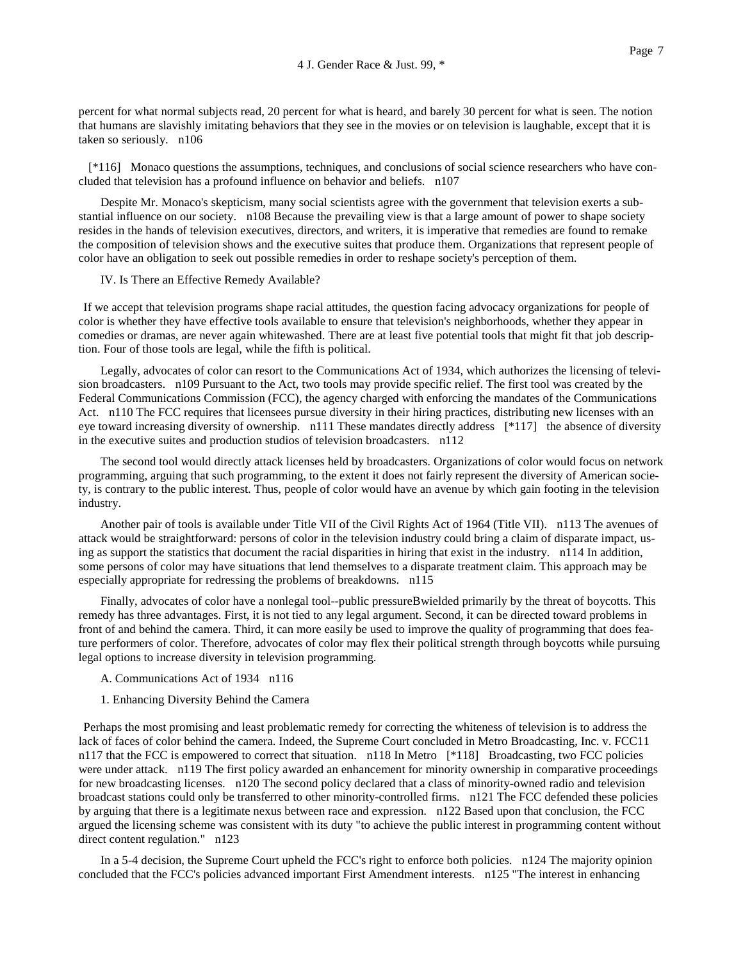percent for what normal subjects read, 20 percent for what is heard, and barely 30 percent for what is seen. The notion that humans are slavishly imitating behaviors that they see in the movies or on television is laughable, except that it is taken so seriously. n106

 [\*116] Monaco questions the assumptions, techniques, and conclusions of social science researchers who have concluded that television has a profound influence on behavior and beliefs. n107

Despite Mr. Monaco's skepticism, many social scientists agree with the government that television exerts a substantial influence on our society. n108 Because the prevailing view is that a large amount of power to shape society resides in the hands of television executives, directors, and writers, it is imperative that remedies are found to remake the composition of television shows and the executive suites that produce them. Organizations that represent people of color have an obligation to seek out possible remedies in order to reshape society's perception of them.

IV. Is There an Effective Remedy Available?

If we accept that television programs shape racial attitudes, the question facing advocacy organizations for people of color is whether they have effective tools available to ensure that television's neighborhoods, whether they appear in comedies or dramas, are never again whitewashed. There are at least five potential tools that might fit that job description. Four of those tools are legal, while the fifth is political.

Legally, advocates of color can resort to the Communications Act of 1934, which authorizes the licensing of television broadcasters. n109 Pursuant to the Act, two tools may provide specific relief. The first tool was created by the Federal Communications Commission (FCC), the agency charged with enforcing the mandates of the Communications Act. n110 The FCC requires that licensees pursue diversity in their hiring practices, distributing new licenses with an eye toward increasing diversity of ownership. n111 These mandates directly address [\*117] the absence of diversity in the executive suites and production studios of television broadcasters. n112

The second tool would directly attack licenses held by broadcasters. Organizations of color would focus on network programming, arguing that such programming, to the extent it does not fairly represent the diversity of American society, is contrary to the public interest. Thus, people of color would have an avenue by which gain footing in the television industry.

Another pair of tools is available under Title VII of the Civil Rights Act of 1964 (Title VII). n113 The avenues of attack would be straightforward: persons of color in the television industry could bring a claim of disparate impact, using as support the statistics that document the racial disparities in hiring that exist in the industry. n114 In addition, some persons of color may have situations that lend themselves to a disparate treatment claim. This approach may be especially appropriate for redressing the problems of breakdowns. n115

Finally, advocates of color have a nonlegal tool--public pressureBwielded primarily by the threat of boycotts. This remedy has three advantages. First, it is not tied to any legal argument. Second, it can be directed toward problems in front of and behind the camera. Third, it can more easily be used to improve the quality of programming that does feature performers of color. Therefore, advocates of color may flex their political strength through boycotts while pursuing legal options to increase diversity in television programming.

- A. Communications Act of 1934 n116
- 1. Enhancing Diversity Behind the Camera

Perhaps the most promising and least problematic remedy for correcting the whiteness of television is to address the lack of faces of color behind the camera. Indeed, the Supreme Court concluded in Metro Broadcasting, Inc. v. FCC11 n117 that the FCC is empowered to correct that situation. n118 In Metro [\*118] Broadcasting, two FCC policies were under attack. n119 The first policy awarded an enhancement for minority ownership in comparative proceedings for new broadcasting licenses. n120 The second policy declared that a class of minority-owned radio and television broadcast stations could only be transferred to other minority-controlled firms. n121 The FCC defended these policies by arguing that there is a legitimate nexus between race and expression. n122 Based upon that conclusion, the FCC argued the licensing scheme was consistent with its duty "to achieve the public interest in programming content without direct content regulation." n123

In a 5-4 decision, the Supreme Court upheld the FCC's right to enforce both policies. n124 The majority opinion concluded that the FCC's policies advanced important First Amendment interests. n125 "The interest in enhancing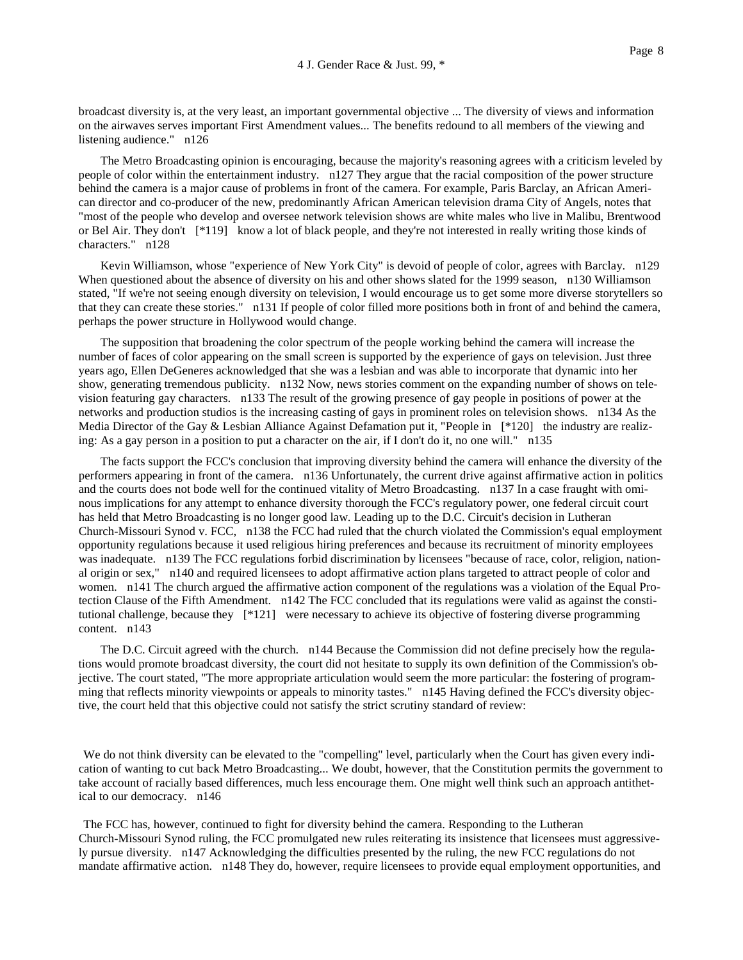broadcast diversity is, at the very least, an important governmental objective ... The diversity of views and information on the airwaves serves important First Amendment values... The benefits redound to all members of the viewing and listening audience." n126

The Metro Broadcasting opinion is encouraging, because the majority's reasoning agrees with a criticism leveled by people of color within the entertainment industry. n127 They argue that the racial composition of the power structure behind the camera is a major cause of problems in front of the camera. For example, Paris Barclay, an African American director and co-producer of the new, predominantly African American television drama City of Angels, notes that "most of the people who develop and oversee network television shows are white males who live in Malibu, Brentwood or Bel Air. They don't [\*119] know a lot of black people, and they're not interested in really writing those kinds of characters." n128

Kevin Williamson, whose "experience of New York City" is devoid of people of color, agrees with Barclay. n129 When questioned about the absence of diversity on his and other shows slated for the 1999 season, n130 Williamson stated, "If we're not seeing enough diversity on television, I would encourage us to get some more diverse storytellers so that they can create these stories." n131 If people of color filled more positions both in front of and behind the camera, perhaps the power structure in Hollywood would change.

The supposition that broadening the color spectrum of the people working behind the camera will increase the number of faces of color appearing on the small screen is supported by the experience of gays on television. Just three years ago, Ellen DeGeneres acknowledged that she was a lesbian and was able to incorporate that dynamic into her show, generating tremendous publicity. n132 Now, news stories comment on the expanding number of shows on television featuring gay characters. n133 The result of the growing presence of gay people in positions of power at the networks and production studios is the increasing casting of gays in prominent roles on television shows. n134 As the Media Director of the Gay & Lesbian Alliance Against Defamation put it, "People in [\*120] the industry are realizing: As a gay person in a position to put a character on the air, if I don't do it, no one will." n135

The facts support the FCC's conclusion that improving diversity behind the camera will enhance the diversity of the performers appearing in front of the camera. n136 Unfortunately, the current drive against affirmative action in politics and the courts does not bode well for the continued vitality of Metro Broadcasting. n137 In a case fraught with ominous implications for any attempt to enhance diversity thorough the FCC's regulatory power, one federal circuit court has held that Metro Broadcasting is no longer good law. Leading up to the D.C. Circuit's decision in Lutheran Church-Missouri Synod v. FCC, n138 the FCC had ruled that the church violated the Commission's equal employment opportunity regulations because it used religious hiring preferences and because its recruitment of minority employees was inadequate. n139 The FCC regulations forbid discrimination by licensees "because of race, color, religion, national origin or sex," n140 and required licensees to adopt affirmative action plans targeted to attract people of color and women. n141 The church argued the affirmative action component of the regulations was a violation of the Equal Protection Clause of the Fifth Amendment. n142 The FCC concluded that its regulations were valid as against the constitutional challenge, because they [\*121] were necessary to achieve its objective of fostering diverse programming content. n143

The D.C. Circuit agreed with the church. n144 Because the Commission did not define precisely how the regulations would promote broadcast diversity, the court did not hesitate to supply its own definition of the Commission's objective. The court stated, "The more appropriate articulation would seem the more particular: the fostering of programming that reflects minority viewpoints or appeals to minority tastes." n145 Having defined the FCC's diversity objective, the court held that this objective could not satisfy the strict scrutiny standard of review:

We do not think diversity can be elevated to the "compelling" level, particularly when the Court has given every indication of wanting to cut back Metro Broadcasting... We doubt, however, that the Constitution permits the government to take account of racially based differences, much less encourage them. One might well think such an approach antithetical to our democracy. n146

The FCC has, however, continued to fight for diversity behind the camera. Responding to the Lutheran Church-Missouri Synod ruling, the FCC promulgated new rules reiterating its insistence that licensees must aggressively pursue diversity. n147 Acknowledging the difficulties presented by the ruling, the new FCC regulations do not mandate affirmative action. n148 They do, however, require licensees to provide equal employment opportunities, and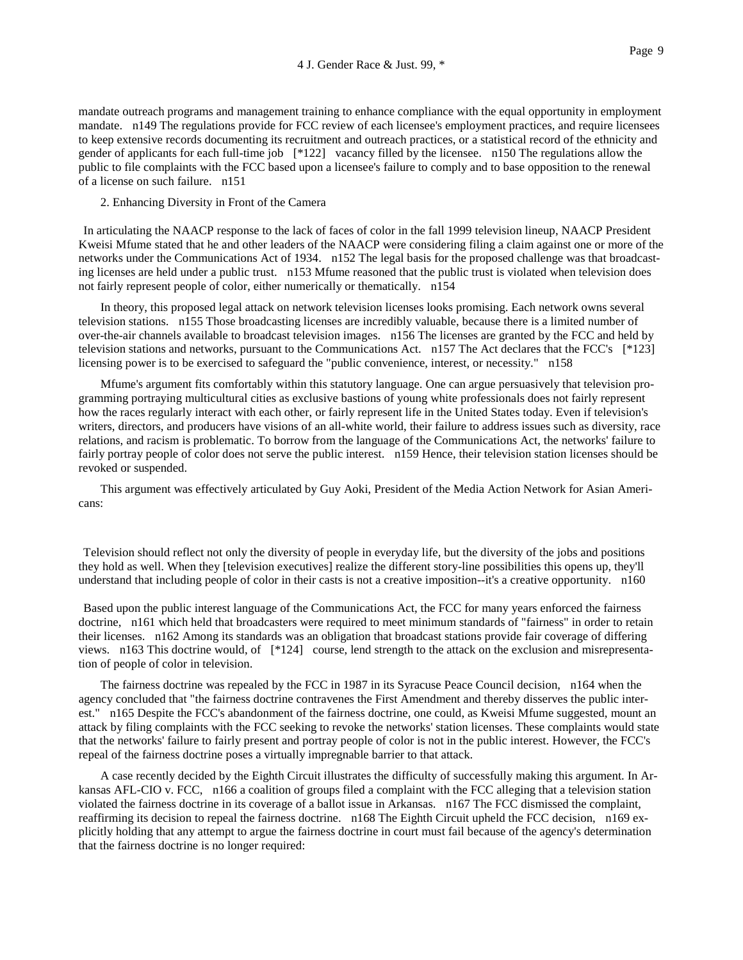mandate outreach programs and management training to enhance compliance with the equal opportunity in employment mandate. n149 The regulations provide for FCC review of each licensee's employment practices, and require licensees to keep extensive records documenting its recruitment and outreach practices, or a statistical record of the ethnicity and gender of applicants for each full-time job [\*122] vacancy filled by the licensee. n150 The regulations allow the public to file complaints with the FCC based upon a licensee's failure to comply and to base opposition to the renewal of a license on such failure. n151

2. Enhancing Diversity in Front of the Camera

In articulating the NAACP response to the lack of faces of color in the fall 1999 television lineup, NAACP President Kweisi Mfume stated that he and other leaders of the NAACP were considering filing a claim against one or more of the networks under the Communications Act of 1934. n152 The legal basis for the proposed challenge was that broadcasting licenses are held under a public trust. n153 Mfume reasoned that the public trust is violated when television does not fairly represent people of color, either numerically or thematically. n154

In theory, this proposed legal attack on network television licenses looks promising. Each network owns several television stations. n155 Those broadcasting licenses are incredibly valuable, because there is a limited number of over-the-air channels available to broadcast television images. n156 The licenses are granted by the FCC and held by television stations and networks, pursuant to the Communications Act. n157 The Act declares that the FCC's [\*123] licensing power is to be exercised to safeguard the "public convenience, interest, or necessity." n158

Mfume's argument fits comfortably within this statutory language. One can argue persuasively that television programming portraying multicultural cities as exclusive bastions of young white professionals does not fairly represent how the races regularly interact with each other, or fairly represent life in the United States today. Even if television's writers, directors, and producers have visions of an all-white world, their failure to address issues such as diversity, race relations, and racism is problematic. To borrow from the language of the Communications Act, the networks' failure to fairly portray people of color does not serve the public interest. n159 Hence, their television station licenses should be revoked or suspended.

This argument was effectively articulated by Guy Aoki, President of the Media Action Network for Asian Americans:

Television should reflect not only the diversity of people in everyday life, but the diversity of the jobs and positions they hold as well. When they [television executives] realize the different story-line possibilities this opens up, they'll understand that including people of color in their casts is not a creative imposition--it's a creative opportunity. n160

Based upon the public interest language of the Communications Act, the FCC for many years enforced the fairness doctrine, n161 which held that broadcasters were required to meet minimum standards of "fairness" in order to retain their licenses. n162 Among its standards was an obligation that broadcast stations provide fair coverage of differing views. n163 This doctrine would, of [\*124] course, lend strength to the attack on the exclusion and misrepresentation of people of color in television.

The fairness doctrine was repealed by the FCC in 1987 in its Syracuse Peace Council decision, n164 when the agency concluded that "the fairness doctrine contravenes the First Amendment and thereby disserves the public interest." n165 Despite the FCC's abandonment of the fairness doctrine, one could, as Kweisi Mfume suggested, mount an attack by filing complaints with the FCC seeking to revoke the networks' station licenses. These complaints would state that the networks' failure to fairly present and portray people of color is not in the public interest. However, the FCC's repeal of the fairness doctrine poses a virtually impregnable barrier to that attack.

A case recently decided by the Eighth Circuit illustrates the difficulty of successfully making this argument. In Arkansas AFL-CIO v. FCC, n166 a coalition of groups filed a complaint with the FCC alleging that a television station violated the fairness doctrine in its coverage of a ballot issue in Arkansas. n167 The FCC dismissed the complaint, reaffirming its decision to repeal the fairness doctrine. n168 The Eighth Circuit upheld the FCC decision, n169 explicitly holding that any attempt to argue the fairness doctrine in court must fail because of the agency's determination that the fairness doctrine is no longer required: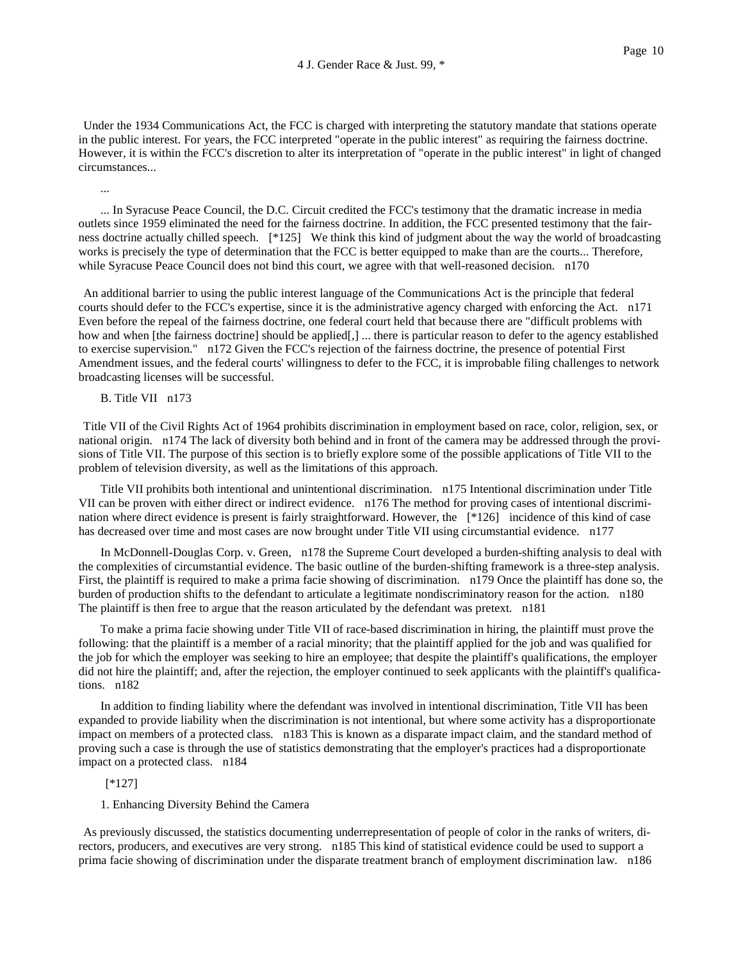Under the 1934 Communications Act, the FCC is charged with interpreting the statutory mandate that stations operate in the public interest. For years, the FCC interpreted "operate in the public interest" as requiring the fairness doctrine. However, it is within the FCC's discretion to alter its interpretation of "operate in the public interest" in light of changed circumstances...

... In Syracuse Peace Council, the D.C. Circuit credited the FCC's testimony that the dramatic increase in media outlets since 1959 eliminated the need for the fairness doctrine. In addition, the FCC presented testimony that the fairness doctrine actually chilled speech. [\*125] We think this kind of judgment about the way the world of broadcasting works is precisely the type of determination that the FCC is better equipped to make than are the courts... Therefore, while Syracuse Peace Council does not bind this court, we agree with that well-reasoned decision. n170

An additional barrier to using the public interest language of the Communications Act is the principle that federal courts should defer to the FCC's expertise, since it is the administrative agency charged with enforcing the Act. n171 Even before the repeal of the fairness doctrine, one federal court held that because there are "difficult problems with how and when [the fairness doctrine] should be applied[,] ... there is particular reason to defer to the agency established to exercise supervision." n172 Given the FCC's rejection of the fairness doctrine, the presence of potential First Amendment issues, and the federal courts' willingness to defer to the FCC, it is improbable filing challenges to network broadcasting licenses will be successful.

B. Title VII n173

...

Title VII of the Civil Rights Act of 1964 prohibits discrimination in employment based on race, color, religion, sex, or national origin. n174 The lack of diversity both behind and in front of the camera may be addressed through the provisions of Title VII. The purpose of this section is to briefly explore some of the possible applications of Title VII to the problem of television diversity, as well as the limitations of this approach.

Title VII prohibits both intentional and unintentional discrimination. n175 Intentional discrimination under Title VII can be proven with either direct or indirect evidence. n176 The method for proving cases of intentional discrimination where direct evidence is present is fairly straightforward. However, the [\*126] incidence of this kind of case has decreased over time and most cases are now brought under Title VII using circumstantial evidence. n177

In McDonnell-Douglas Corp. v. Green, n178 the Supreme Court developed a burden-shifting analysis to deal with the complexities of circumstantial evidence. The basic outline of the burden-shifting framework is a three-step analysis. First, the plaintiff is required to make a prima facie showing of discrimination. n179 Once the plaintiff has done so, the burden of production shifts to the defendant to articulate a legitimate nondiscriminatory reason for the action. n180 The plaintiff is then free to argue that the reason articulated by the defendant was pretext. n181

To make a prima facie showing under Title VII of race-based discrimination in hiring, the plaintiff must prove the following: that the plaintiff is a member of a racial minority; that the plaintiff applied for the job and was qualified for the job for which the employer was seeking to hire an employee; that despite the plaintiff's qualifications, the employer did not hire the plaintiff; and, after the rejection, the employer continued to seek applicants with the plaintiff's qualifications. n182

In addition to finding liability where the defendant was involved in intentional discrimination, Title VII has been expanded to provide liability when the discrimination is not intentional, but where some activity has a disproportionate impact on members of a protected class. n183 This is known as a disparate impact claim, and the standard method of proving such a case is through the use of statistics demonstrating that the employer's practices had a disproportionate impact on a protected class. n184

#### [\*127]

### 1. Enhancing Diversity Behind the Camera

As previously discussed, the statistics documenting underrepresentation of people of color in the ranks of writers, directors, producers, and executives are very strong. n185 This kind of statistical evidence could be used to support a prima facie showing of discrimination under the disparate treatment branch of employment discrimination law. n186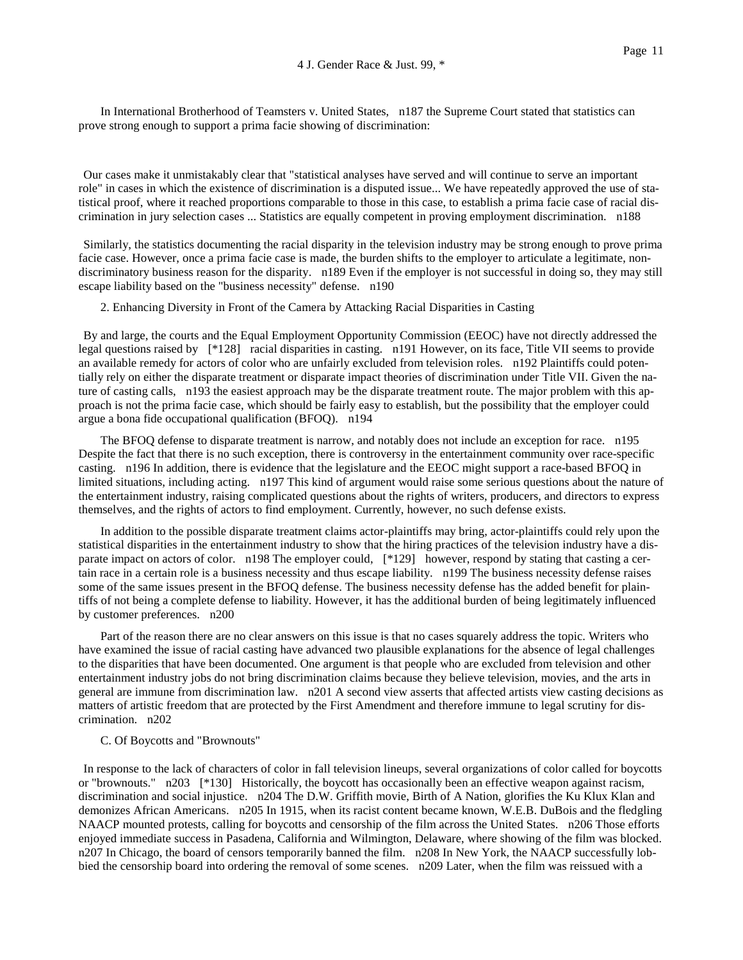In International Brotherhood of Teamsters v. United States, n187 the Supreme Court stated that statistics can prove strong enough to support a prima facie showing of discrimination:

Our cases make it unmistakably clear that "statistical analyses have served and will continue to serve an important role" in cases in which the existence of discrimination is a disputed issue... We have repeatedly approved the use of statistical proof, where it reached proportions comparable to those in this case, to establish a prima facie case of racial discrimination in jury selection cases ... Statistics are equally competent in proving employment discrimination. n188

Similarly, the statistics documenting the racial disparity in the television industry may be strong enough to prove prima facie case. However, once a prima facie case is made, the burden shifts to the employer to articulate a legitimate, nondiscriminatory business reason for the disparity. n189 Even if the employer is not successful in doing so, they may still escape liability based on the "business necessity" defense. n190

2. Enhancing Diversity in Front of the Camera by Attacking Racial Disparities in Casting

By and large, the courts and the Equal Employment Opportunity Commission (EEOC) have not directly addressed the legal questions raised by [\*128] racial disparities in casting. n191 However, on its face, Title VII seems to provide an available remedy for actors of color who are unfairly excluded from television roles. n192 Plaintiffs could potentially rely on either the disparate treatment or disparate impact theories of discrimination under Title VII. Given the nature of casting calls, n193 the easiest approach may be the disparate treatment route. The major problem with this approach is not the prima facie case, which should be fairly easy to establish, but the possibility that the employer could argue a bona fide occupational qualification (BFOQ). n194

The BFOQ defense to disparate treatment is narrow, and notably does not include an exception for race. n195 Despite the fact that there is no such exception, there is controversy in the entertainment community over race-specific casting. n196 In addition, there is evidence that the legislature and the EEOC might support a race-based BFOQ in limited situations, including acting. n197 This kind of argument would raise some serious questions about the nature of the entertainment industry, raising complicated questions about the rights of writers, producers, and directors to express themselves, and the rights of actors to find employment. Currently, however, no such defense exists.

In addition to the possible disparate treatment claims actor-plaintiffs may bring, actor-plaintiffs could rely upon the statistical disparities in the entertainment industry to show that the hiring practices of the television industry have a disparate impact on actors of color. n198 The employer could, [\*129] however, respond by stating that casting a certain race in a certain role is a business necessity and thus escape liability. n199 The business necessity defense raises some of the same issues present in the BFOQ defense. The business necessity defense has the added benefit for plaintiffs of not being a complete defense to liability. However, it has the additional burden of being legitimately influenced by customer preferences. n200

Part of the reason there are no clear answers on this issue is that no cases squarely address the topic. Writers who have examined the issue of racial casting have advanced two plausible explanations for the absence of legal challenges to the disparities that have been documented. One argument is that people who are excluded from television and other entertainment industry jobs do not bring discrimination claims because they believe television, movies, and the arts in general are immune from discrimination law. n201 A second view asserts that affected artists view casting decisions as matters of artistic freedom that are protected by the First Amendment and therefore immune to legal scrutiny for discrimination. n202

# C. Of Boycotts and "Brownouts"

In response to the lack of characters of color in fall television lineups, several organizations of color called for boycotts or "brownouts." n203 [\*130] Historically, the boycott has occasionally been an effective weapon against racism, discrimination and social injustice. n204 The D.W. Griffith movie, Birth of A Nation, glorifies the Ku Klux Klan and demonizes African Americans. n205 In 1915, when its racist content became known, W.E.B. DuBois and the fledgling NAACP mounted protests, calling for boycotts and censorship of the film across the United States. n206 Those efforts enjoyed immediate success in Pasadena, California and Wilmington, Delaware, where showing of the film was blocked. n207 In Chicago, the board of censors temporarily banned the film. n208 In New York, the NAACP successfully lobbied the censorship board into ordering the removal of some scenes. n209 Later, when the film was reissued with a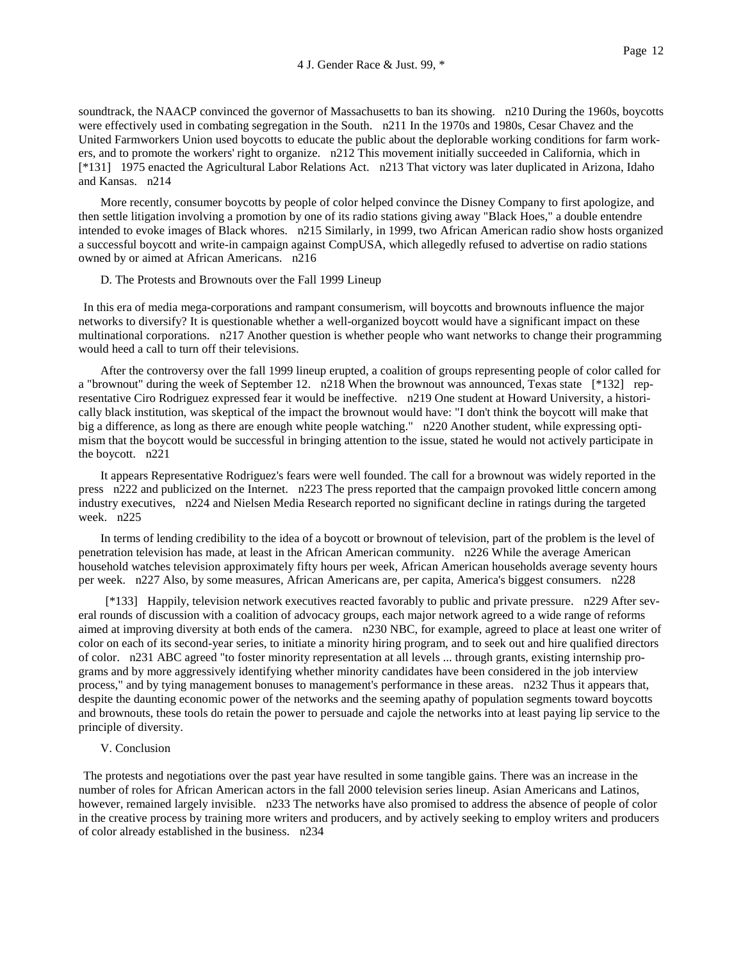soundtrack, the NAACP convinced the governor of Massachusetts to ban its showing. n210 During the 1960s, boycotts were effectively used in combating segregation in the South. n211 In the 1970s and 1980s, Cesar Chavez and the United Farmworkers Union used boycotts to educate the public about the deplorable working conditions for farm workers, and to promote the workers' right to organize. n212 This movement initially succeeded in California, which in [\*131] 1975 enacted the Agricultural Labor Relations Act. n213 That victory was later duplicated in Arizona, Idaho and Kansas. n214

More recently, consumer boycotts by people of color helped convince the Disney Company to first apologize, and then settle litigation involving a promotion by one of its radio stations giving away "Black Hoes," a double entendre intended to evoke images of Black whores. n215 Similarly, in 1999, two African American radio show hosts organized a successful boycott and write-in campaign against CompUSA, which allegedly refused to advertise on radio stations owned by or aimed at African Americans. n216

#### D. The Protests and Brownouts over the Fall 1999 Lineup

In this era of media mega-corporations and rampant consumerism, will boycotts and brownouts influence the major networks to diversify? It is questionable whether a well-organized boycott would have a significant impact on these multinational corporations. n217 Another question is whether people who want networks to change their programming would heed a call to turn off their televisions.

After the controversy over the fall 1999 lineup erupted, a coalition of groups representing people of color called for a "brownout" during the week of September 12. n218 When the brownout was announced, Texas state [\*132] representative Ciro Rodriguez expressed fear it would be ineffective. n219 One student at Howard University, a historically black institution, was skeptical of the impact the brownout would have: "I don't think the boycott will make that big a difference, as long as there are enough white people watching." n220 Another student, while expressing optimism that the boycott would be successful in bringing attention to the issue, stated he would not actively participate in the boycott. n221

It appears Representative Rodriguez's fears were well founded. The call for a brownout was widely reported in the press n222 and publicized on the Internet. n223 The press reported that the campaign provoked little concern among industry executives, n224 and Nielsen Media Research reported no significant decline in ratings during the targeted week. n225

In terms of lending credibility to the idea of a boycott or brownout of television, part of the problem is the level of penetration television has made, at least in the African American community. n226 While the average American household watches television approximately fifty hours per week, African American households average seventy hours per week. n227 Also, by some measures, African Americans are, per capita, America's biggest consumers. n228

[\*133] Happily, television network executives reacted favorably to public and private pressure. n229 After several rounds of discussion with a coalition of advocacy groups, each major network agreed to a wide range of reforms aimed at improving diversity at both ends of the camera. n230 NBC, for example, agreed to place at least one writer of color on each of its second-year series, to initiate a minority hiring program, and to seek out and hire qualified directors of color. n231 ABC agreed "to foster minority representation at all levels ... through grants, existing internship programs and by more aggressively identifying whether minority candidates have been considered in the job interview process," and by tying management bonuses to management's performance in these areas. n232 Thus it appears that, despite the daunting economic power of the networks and the seeming apathy of population segments toward boycotts and brownouts, these tools do retain the power to persuade and cajole the networks into at least paying lip service to the principle of diversity.

### V. Conclusion

The protests and negotiations over the past year have resulted in some tangible gains. There was an increase in the number of roles for African American actors in the fall 2000 television series lineup. Asian Americans and Latinos, however, remained largely invisible. n233 The networks have also promised to address the absence of people of color in the creative process by training more writers and producers, and by actively seeking to employ writers and producers of color already established in the business. n234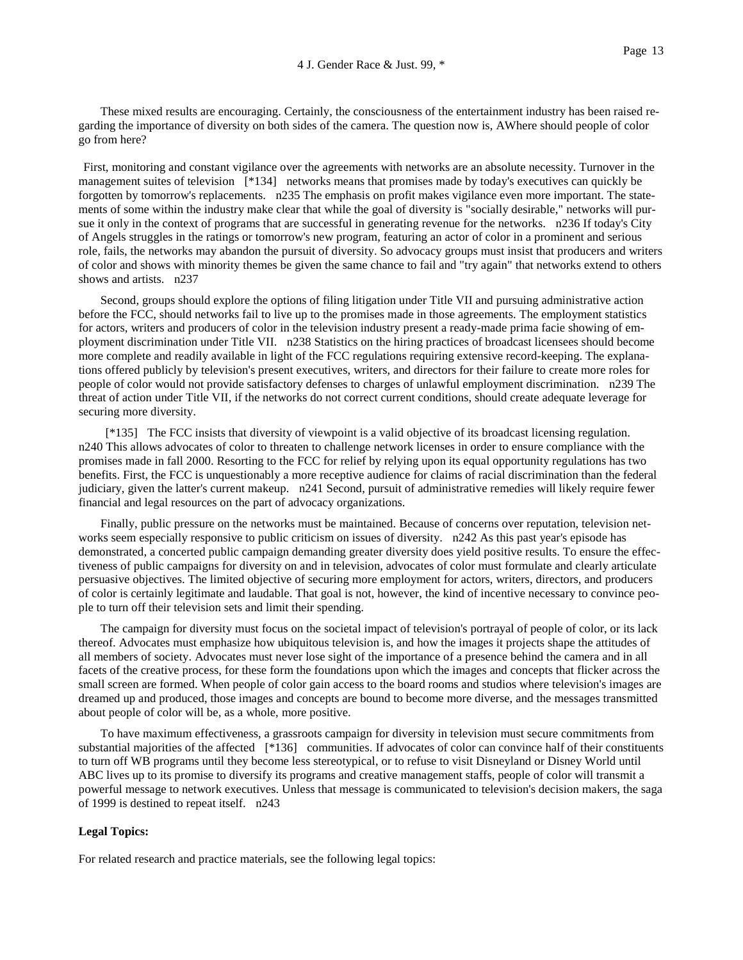These mixed results are encouraging. Certainly, the consciousness of the entertainment industry has been raised regarding the importance of diversity on both sides of the camera. The question now is, AWhere should people of color go from here?

First, monitoring and constant vigilance over the agreements with networks are an absolute necessity. Turnover in the management suites of television [\*134] networks means that promises made by today's executives can quickly be forgotten by tomorrow's replacements. n235 The emphasis on profit makes vigilance even more important. The statements of some within the industry make clear that while the goal of diversity is "socially desirable," networks will pursue it only in the context of programs that are successful in generating revenue for the networks. n236 If today's City of Angels struggles in the ratings or tomorrow's new program, featuring an actor of color in a prominent and serious role, fails, the networks may abandon the pursuit of diversity. So advocacy groups must insist that producers and writers of color and shows with minority themes be given the same chance to fail and "try again" that networks extend to others shows and artists. n237

Second, groups should explore the options of filing litigation under Title VII and pursuing administrative action before the FCC, should networks fail to live up to the promises made in those agreements. The employment statistics for actors, writers and producers of color in the television industry present a ready-made prima facie showing of employment discrimination under Title VII. n238 Statistics on the hiring practices of broadcast licensees should become more complete and readily available in light of the FCC regulations requiring extensive record-keeping. The explanations offered publicly by television's present executives, writers, and directors for their failure to create more roles for people of color would not provide satisfactory defenses to charges of unlawful employment discrimination. n239 The threat of action under Title VII, if the networks do not correct current conditions, should create adequate leverage for securing more diversity.

[\*135] The FCC insists that diversity of viewpoint is a valid objective of its broadcast licensing regulation. n240 This allows advocates of color to threaten to challenge network licenses in order to ensure compliance with the promises made in fall 2000. Resorting to the FCC for relief by relying upon its equal opportunity regulations has two benefits. First, the FCC is unquestionably a more receptive audience for claims of racial discrimination than the federal judiciary, given the latter's current makeup. n241 Second, pursuit of administrative remedies will likely require fewer financial and legal resources on the part of advocacy organizations.

Finally, public pressure on the networks must be maintained. Because of concerns over reputation, television networks seem especially responsive to public criticism on issues of diversity. n242 As this past year's episode has demonstrated, a concerted public campaign demanding greater diversity does yield positive results. To ensure the effectiveness of public campaigns for diversity on and in television, advocates of color must formulate and clearly articulate persuasive objectives. The limited objective of securing more employment for actors, writers, directors, and producers of color is certainly legitimate and laudable. That goal is not, however, the kind of incentive necessary to convince people to turn off their television sets and limit their spending.

The campaign for diversity must focus on the societal impact of television's portrayal of people of color, or its lack thereof. Advocates must emphasize how ubiquitous television is, and how the images it projects shape the attitudes of all members of society. Advocates must never lose sight of the importance of a presence behind the camera and in all facets of the creative process, for these form the foundations upon which the images and concepts that flicker across the small screen are formed. When people of color gain access to the board rooms and studios where television's images are dreamed up and produced, those images and concepts are bound to become more diverse, and the messages transmitted about people of color will be, as a whole, more positive.

To have maximum effectiveness, a grassroots campaign for diversity in television must secure commitments from substantial majorities of the affected [\*136] communities. If advocates of color can convince half of their constituents to turn off WB programs until they become less stereotypical, or to refuse to visit Disneyland or Disney World until ABC lives up to its promise to diversify its programs and creative management staffs, people of color will transmit a powerful message to network executives. Unless that message is communicated to television's decision makers, the saga of 1999 is destined to repeat itself. n243

# **Legal Topics:**

For related research and practice materials, see the following legal topics: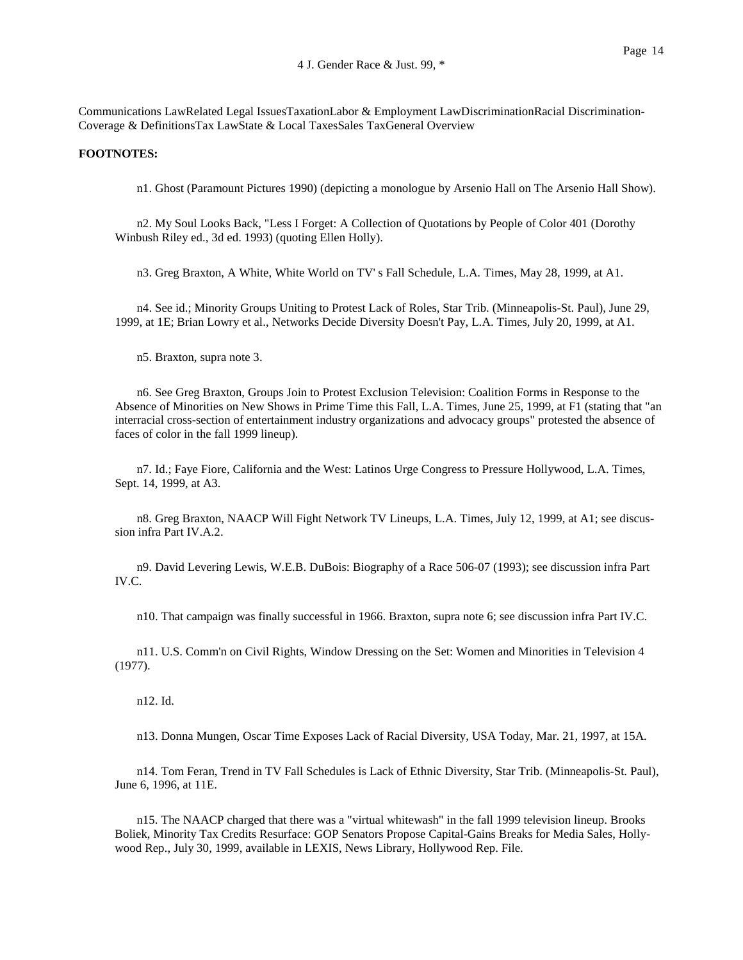Communications LawRelated Legal IssuesTaxationLabor & Employment LawDiscriminationRacial Discrimination-Coverage & DefinitionsTax LawState & Local TaxesSales TaxGeneral Overview

# **FOOTNOTES:**

n1. Ghost (Paramount Pictures 1990) (depicting a monologue by Arsenio Hall on The Arsenio Hall Show).

n2. My Soul Looks Back, "Less I Forget: A Collection of Quotations by People of Color 401 (Dorothy Winbush Riley ed., 3d ed. 1993) (quoting Ellen Holly).

n3. Greg Braxton, A White, White World on TV' s Fall Schedule, L.A. Times, May 28, 1999, at A1.

n4. See id.; Minority Groups Uniting to Protest Lack of Roles, Star Trib. (Minneapolis-St. Paul), June 29, 1999, at 1E; Brian Lowry et al., Networks Decide Diversity Doesn't Pay, L.A. Times, July 20, 1999, at A1.

n5. Braxton, supra note 3.

n6. See Greg Braxton, Groups Join to Protest Exclusion Television: Coalition Forms in Response to the Absence of Minorities on New Shows in Prime Time this Fall, L.A. Times, June 25, 1999, at F1 (stating that "an interracial cross-section of entertainment industry organizations and advocacy groups" protested the absence of faces of color in the fall 1999 lineup).

n7. Id.; Faye Fiore, California and the West: Latinos Urge Congress to Pressure Hollywood, L.A. Times, Sept. 14, 1999, at A3.

n8. Greg Braxton, NAACP Will Fight Network TV Lineups, L.A. Times, July 12, 1999, at A1; see discussion infra Part IV.A.2.

n9. David Levering Lewis, W.E.B. DuBois: Biography of a Race 506-07 (1993); see discussion infra Part IV.C.

n10. That campaign was finally successful in 1966. Braxton, supra note 6; see discussion infra Part IV.C.

n11. U.S. Comm'n on Civil Rights, Window Dressing on the Set: Women and Minorities in Television 4 (1977).

n12. Id.

n13. Donna Mungen, Oscar Time Exposes Lack of Racial Diversity, USA Today, Mar. 21, 1997, at 15A.

n14. Tom Feran, Trend in TV Fall Schedules is Lack of Ethnic Diversity, Star Trib. (Minneapolis-St. Paul), June 6, 1996, at 11E.

n15. The NAACP charged that there was a "virtual whitewash" in the fall 1999 television lineup. Brooks Boliek, Minority Tax Credits Resurface: GOP Senators Propose Capital-Gains Breaks for Media Sales, Hollywood Rep., July 30, 1999, available in LEXIS, News Library, Hollywood Rep. File.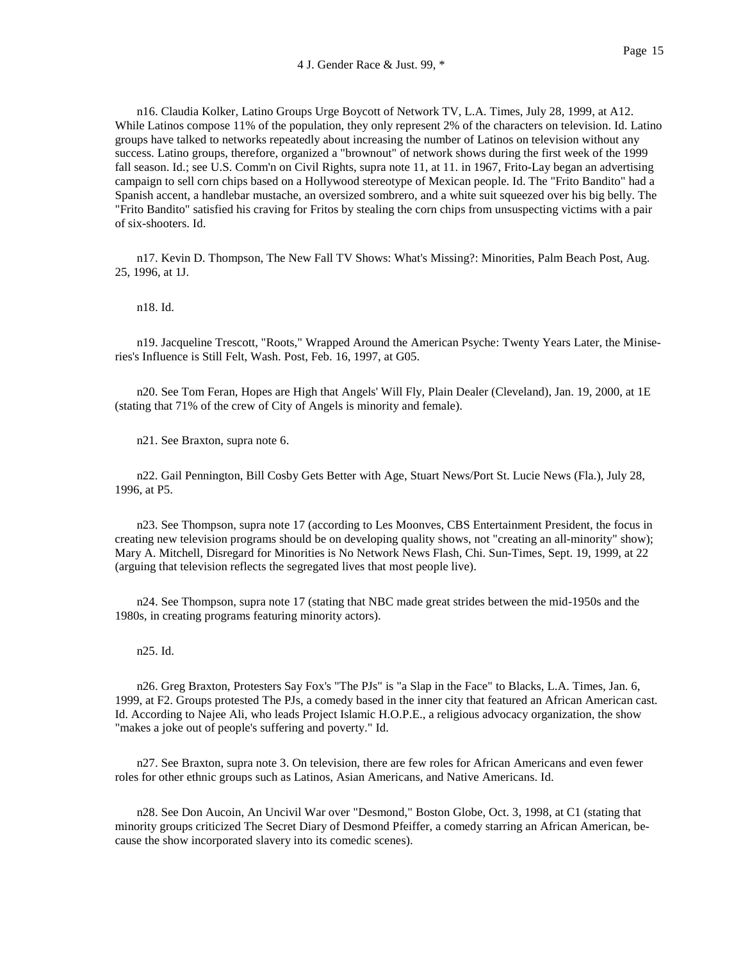n16. Claudia Kolker, Latino Groups Urge Boycott of Network TV, L.A. Times, July 28, 1999, at A12. While Latinos compose 11% of the population, they only represent 2% of the characters on television. Id. Latino groups have talked to networks repeatedly about increasing the number of Latinos on television without any success. Latino groups, therefore, organized a "brownout" of network shows during the first week of the 1999 fall season. Id.; see U.S. Comm'n on Civil Rights, supra note 11, at 11. in 1967, Frito-Lay began an advertising campaign to sell corn chips based on a Hollywood stereotype of Mexican people. Id. The "Frito Bandito" had a Spanish accent, a handlebar mustache, an oversized sombrero, and a white suit squeezed over his big belly. The "Frito Bandito" satisfied his craving for Fritos by stealing the corn chips from unsuspecting victims with a pair of six-shooters. Id.

n17. Kevin D. Thompson, The New Fall TV Shows: What's Missing?: Minorities, Palm Beach Post, Aug. 25, 1996, at 1J.

n18. Id.

n19. Jacqueline Trescott, "Roots," Wrapped Around the American Psyche: Twenty Years Later, the Miniseries's Influence is Still Felt, Wash. Post, Feb. 16, 1997, at G05.

n20. See Tom Feran, Hopes are High that Angels' Will Fly, Plain Dealer (Cleveland), Jan. 19, 2000, at 1E (stating that 71% of the crew of City of Angels is minority and female).

n21. See Braxton, supra note 6.

n22. Gail Pennington, Bill Cosby Gets Better with Age, Stuart News/Port St. Lucie News (Fla.), July 28, 1996, at P5.

n23. See Thompson, supra note 17 (according to Les Moonves, CBS Entertainment President, the focus in creating new television programs should be on developing quality shows, not "creating an all-minority" show); Mary A. Mitchell, Disregard for Minorities is No Network News Flash, Chi. Sun-Times, Sept. 19, 1999, at 22 (arguing that television reflects the segregated lives that most people live).

n24. See Thompson, supra note 17 (stating that NBC made great strides between the mid-1950s and the 1980s, in creating programs featuring minority actors).

n25. Id.

n26. Greg Braxton, Protesters Say Fox's "The PJs" is "a Slap in the Face" to Blacks, L.A. Times, Jan. 6, 1999, at F2. Groups protested The PJs, a comedy based in the inner city that featured an African American cast. Id. According to Najee Ali, who leads Project Islamic H.O.P.E., a religious advocacy organization, the show "makes a joke out of people's suffering and poverty." Id.

n27. See Braxton, supra note 3. On television, there are few roles for African Americans and even fewer roles for other ethnic groups such as Latinos, Asian Americans, and Native Americans. Id.

n28. See Don Aucoin, An Uncivil War over "Desmond," Boston Globe, Oct. 3, 1998, at C1 (stating that minority groups criticized The Secret Diary of Desmond Pfeiffer, a comedy starring an African American, because the show incorporated slavery into its comedic scenes).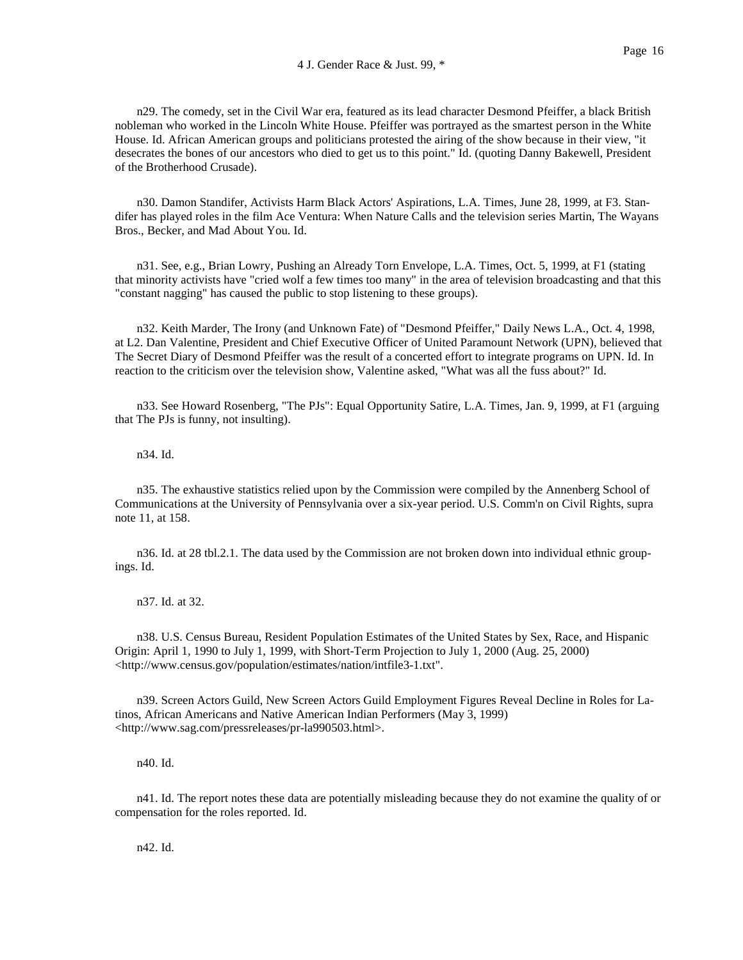n29. The comedy, set in the Civil War era, featured as its lead character Desmond Pfeiffer, a black British nobleman who worked in the Lincoln White House. Pfeiffer was portrayed as the smartest person in the White House. Id. African American groups and politicians protested the airing of the show because in their view, "it desecrates the bones of our ancestors who died to get us to this point." Id. (quoting Danny Bakewell, President of the Brotherhood Crusade).

n30. Damon Standifer, Activists Harm Black Actors' Aspirations, L.A. Times, June 28, 1999, at F3. Standifer has played roles in the film Ace Ventura: When Nature Calls and the television series Martin, The Wayans Bros., Becker, and Mad About You. Id.

n31. See, e.g., Brian Lowry, Pushing an Already Torn Envelope, L.A. Times, Oct. 5, 1999, at F1 (stating that minority activists have "cried wolf a few times too many" in the area of television broadcasting and that this "constant nagging" has caused the public to stop listening to these groups).

n32. Keith Marder, The Irony (and Unknown Fate) of "Desmond Pfeiffer," Daily News L.A., Oct. 4, 1998, at L2. Dan Valentine, President and Chief Executive Officer of United Paramount Network (UPN), believed that The Secret Diary of Desmond Pfeiffer was the result of a concerted effort to integrate programs on UPN. Id. In reaction to the criticism over the television show, Valentine asked, "What was all the fuss about?" Id.

n33. See Howard Rosenberg, "The PJs": Equal Opportunity Satire, L.A. Times, Jan. 9, 1999, at F1 (arguing that The PJs is funny, not insulting).

n34. Id.

n35. The exhaustive statistics relied upon by the Commission were compiled by the Annenberg School of Communications at the University of Pennsylvania over a six-year period. U.S. Comm'n on Civil Rights, supra note 11, at 158.

n36. Id. at 28 tbl.2.1. The data used by the Commission are not broken down into individual ethnic groupings. Id.

n37. Id. at 32.

n38. U.S. Census Bureau, Resident Population Estimates of the United States by Sex, Race, and Hispanic Origin: April 1, 1990 to July 1, 1999, with Short-Term Projection to July 1, 2000 (Aug. 25, 2000) <http://www.census.gov/population/estimates/nation/intfile3-1.txt".

n39. Screen Actors Guild, New Screen Actors Guild Employment Figures Reveal Decline in Roles for Latinos, African Americans and Native American Indian Performers (May 3, 1999) <http://www.sag.com/pressreleases/pr-la990503.html>.

n40. Id.

n41. Id. The report notes these data are potentially misleading because they do not examine the quality of or compensation for the roles reported. Id.

n42. Id.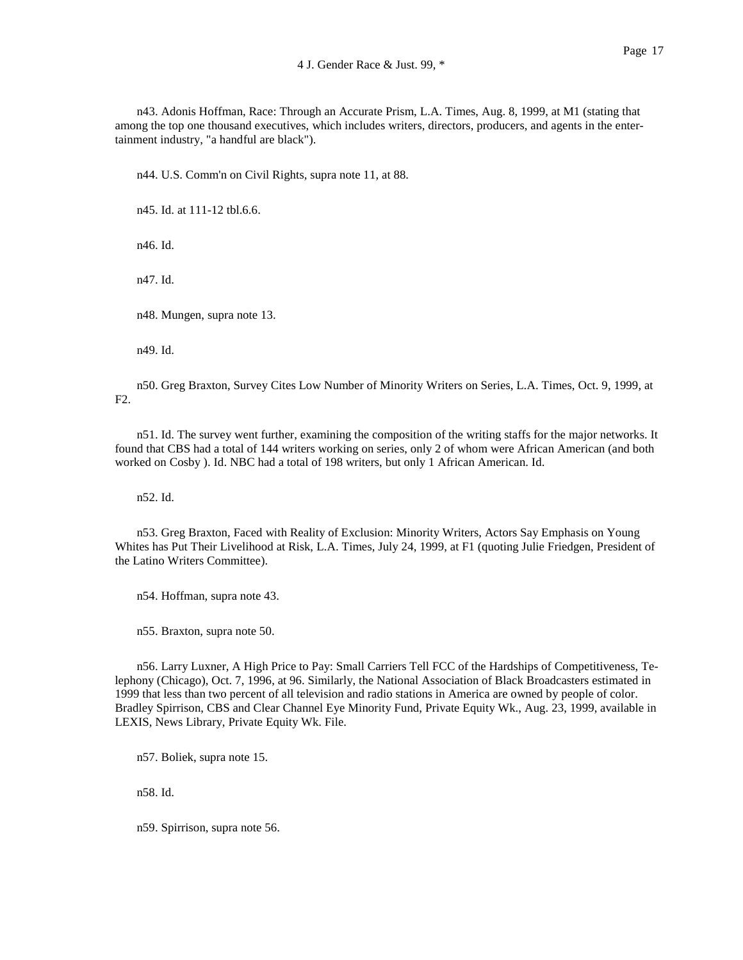n43. Adonis Hoffman, Race: Through an Accurate Prism, L.A. Times, Aug. 8, 1999, at M1 (stating that among the top one thousand executives, which includes writers, directors, producers, and agents in the entertainment industry, "a handful are black").

n44. U.S. Comm'n on Civil Rights, supra note 11, at 88.

n45. Id. at 111-12 tbl.6.6.

n46. Id.

n47. Id.

n48. Mungen, supra note 13.

n49. Id.

n50. Greg Braxton, Survey Cites Low Number of Minority Writers on Series, L.A. Times, Oct. 9, 1999, at F2.

n51. Id. The survey went further, examining the composition of the writing staffs for the major networks. It found that CBS had a total of 144 writers working on series, only 2 of whom were African American (and both worked on Cosby ). Id. NBC had a total of 198 writers, but only 1 African American. Id.

n52. Id.

n53. Greg Braxton, Faced with Reality of Exclusion: Minority Writers, Actors Say Emphasis on Young Whites has Put Their Livelihood at Risk, L.A. Times, July 24, 1999, at F1 (quoting Julie Friedgen, President of the Latino Writers Committee).

n54. Hoffman, supra note 43.

n55. Braxton, supra note 50.

n56. Larry Luxner, A High Price to Pay: Small Carriers Tell FCC of the Hardships of Competitiveness, Telephony (Chicago), Oct. 7, 1996, at 96. Similarly, the National Association of Black Broadcasters estimated in 1999 that less than two percent of all television and radio stations in America are owned by people of color. Bradley Spirrison, CBS and Clear Channel Eye Minority Fund, Private Equity Wk., Aug. 23, 1999, available in LEXIS, News Library, Private Equity Wk. File.

n57. Boliek, supra note 15.

n58. Id.

n59. Spirrison, supra note 56.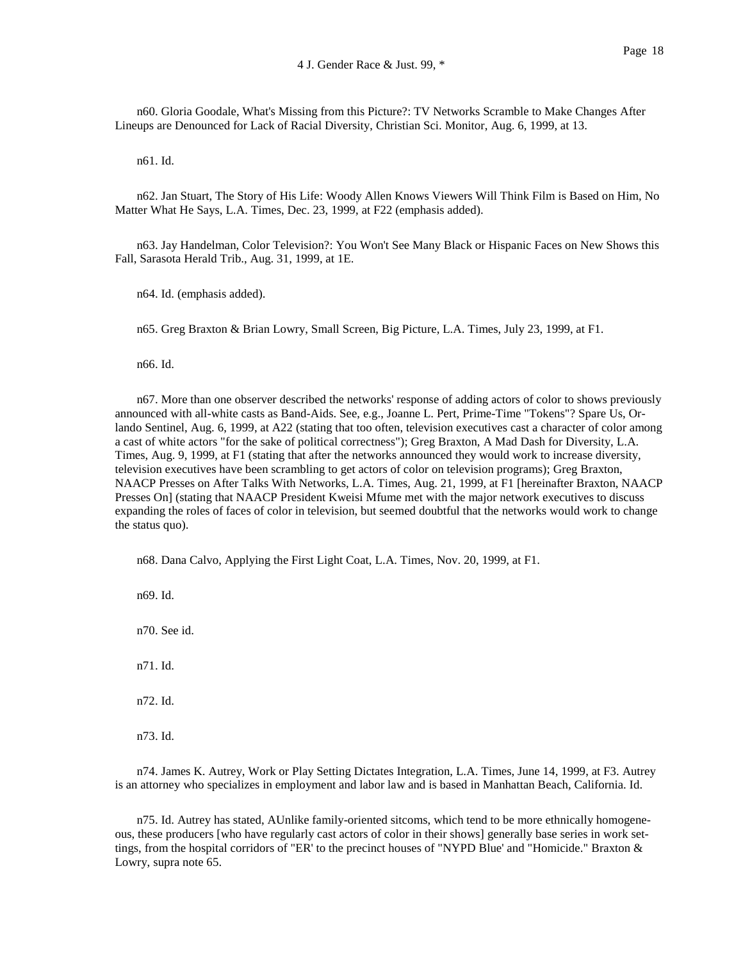n60. Gloria Goodale, What's Missing from this Picture?: TV Networks Scramble to Make Changes After Lineups are Denounced for Lack of Racial Diversity, Christian Sci. Monitor, Aug. 6, 1999, at 13.

n61. Id.

n62. Jan Stuart, The Story of His Life: Woody Allen Knows Viewers Will Think Film is Based on Him, No Matter What He Says, L.A. Times, Dec. 23, 1999, at F22 (emphasis added).

n63. Jay Handelman, Color Television?: You Won't See Many Black or Hispanic Faces on New Shows this Fall, Sarasota Herald Trib., Aug. 31, 1999, at 1E.

n64. Id. (emphasis added).

n65. Greg Braxton & Brian Lowry, Small Screen, Big Picture, L.A. Times, July 23, 1999, at F1.

n66. Id.

n67. More than one observer described the networks' response of adding actors of color to shows previously announced with all-white casts as Band-Aids. See, e.g., Joanne L. Pert, Prime-Time "Tokens"? Spare Us, Orlando Sentinel, Aug. 6, 1999, at A22 (stating that too often, television executives cast a character of color among a cast of white actors "for the sake of political correctness"); Greg Braxton, A Mad Dash for Diversity, L.A. Times, Aug. 9, 1999, at F1 (stating that after the networks announced they would work to increase diversity, television executives have been scrambling to get actors of color on television programs); Greg Braxton, NAACP Presses on After Talks With Networks, L.A. Times, Aug. 21, 1999, at F1 [hereinafter Braxton, NAACP Presses On] (stating that NAACP President Kweisi Mfume met with the major network executives to discuss expanding the roles of faces of color in television, but seemed doubtful that the networks would work to change the status quo).

n68. Dana Calvo, Applying the First Light Coat, L.A. Times, Nov. 20, 1999, at F1.

n69. Id.

n70. See id.

n71. Id.

n72. Id.

n73. Id.

n74. James K. Autrey, Work or Play Setting Dictates Integration, L.A. Times, June 14, 1999, at F3. Autrey is an attorney who specializes in employment and labor law and is based in Manhattan Beach, California. Id.

n75. Id. Autrey has stated, AUnlike family-oriented sitcoms, which tend to be more ethnically homogeneous, these producers [who have regularly cast actors of color in their shows] generally base series in work settings, from the hospital corridors of "ER' to the precinct houses of "NYPD Blue' and "Homicide." Braxton & Lowry, supra note 65.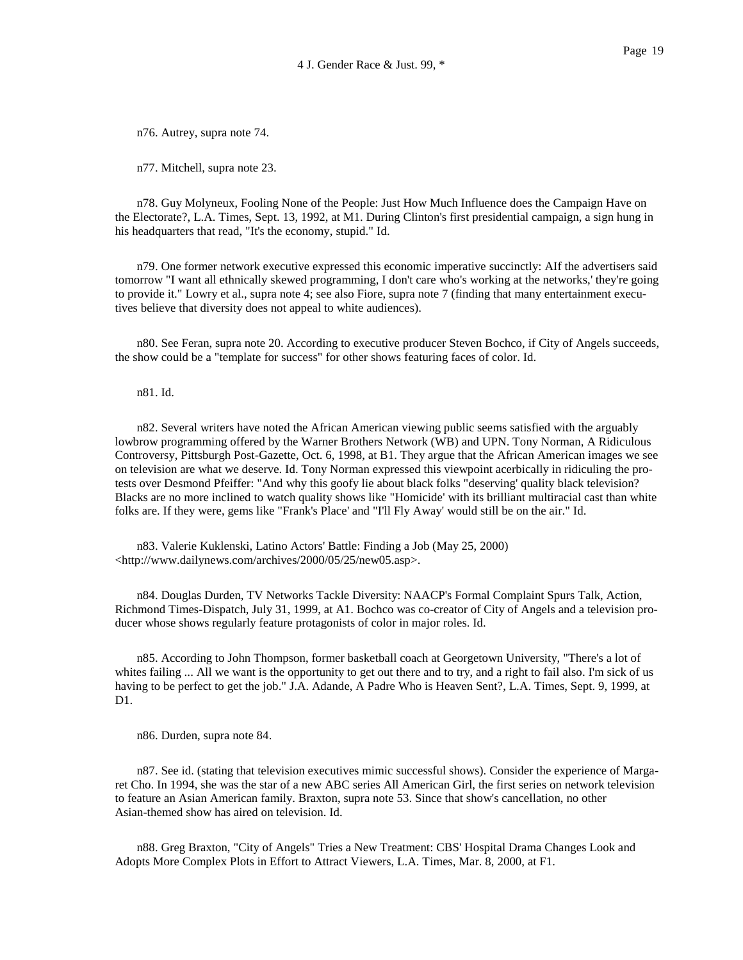n76. Autrey, supra note 74.

n77. Mitchell, supra note 23.

n78. Guy Molyneux, Fooling None of the People: Just How Much Influence does the Campaign Have on the Electorate?, L.A. Times, Sept. 13, 1992, at M1. During Clinton's first presidential campaign, a sign hung in his headquarters that read, "It's the economy, stupid." Id.

n79. One former network executive expressed this economic imperative succinctly: AIf the advertisers said tomorrow "I want all ethnically skewed programming, I don't care who's working at the networks,' they're going to provide it." Lowry et al., supra note 4; see also Fiore, supra note 7 (finding that many entertainment executives believe that diversity does not appeal to white audiences).

n80. See Feran, supra note 20. According to executive producer Steven Bochco, if City of Angels succeeds, the show could be a "template for success" for other shows featuring faces of color. Id.

n81. Id.

n82. Several writers have noted the African American viewing public seems satisfied with the arguably lowbrow programming offered by the Warner Brothers Network (WB) and UPN. Tony Norman, A Ridiculous Controversy, Pittsburgh Post-Gazette, Oct. 6, 1998, at B1. They argue that the African American images we see on television are what we deserve. Id. Tony Norman expressed this viewpoint acerbically in ridiculing the protests over Desmond Pfeiffer: "And why this goofy lie about black folks "deserving' quality black television? Blacks are no more inclined to watch quality shows like "Homicide' with its brilliant multiracial cast than white folks are. If they were, gems like "Frank's Place' and "I'll Fly Away' would still be on the air." Id.

n83. Valerie Kuklenski, Latino Actors' Battle: Finding a Job (May 25, 2000) <http://www.dailynews.com/archives/2000/05/25/new05.asp>.

n84. Douglas Durden, TV Networks Tackle Diversity: NAACP's Formal Complaint Spurs Talk, Action, Richmond Times-Dispatch, July 31, 1999, at A1. Bochco was co-creator of City of Angels and a television producer whose shows regularly feature protagonists of color in major roles. Id.

n85. According to John Thompson, former basketball coach at Georgetown University, "There's a lot of whites failing ... All we want is the opportunity to get out there and to try, and a right to fail also. I'm sick of us having to be perfect to get the job." J.A. Adande, A Padre Who is Heaven Sent?, L.A. Times, Sept. 9, 1999, at D1.

n86. Durden, supra note 84.

n87. See id. (stating that television executives mimic successful shows). Consider the experience of Margaret Cho. In 1994, she was the star of a new ABC series All American Girl, the first series on network television to feature an Asian American family. Braxton, supra note 53. Since that show's cancellation, no other Asian-themed show has aired on television. Id.

n88. Greg Braxton, "City of Angels" Tries a New Treatment: CBS' Hospital Drama Changes Look and Adopts More Complex Plots in Effort to Attract Viewers, L.A. Times, Mar. 8, 2000, at F1.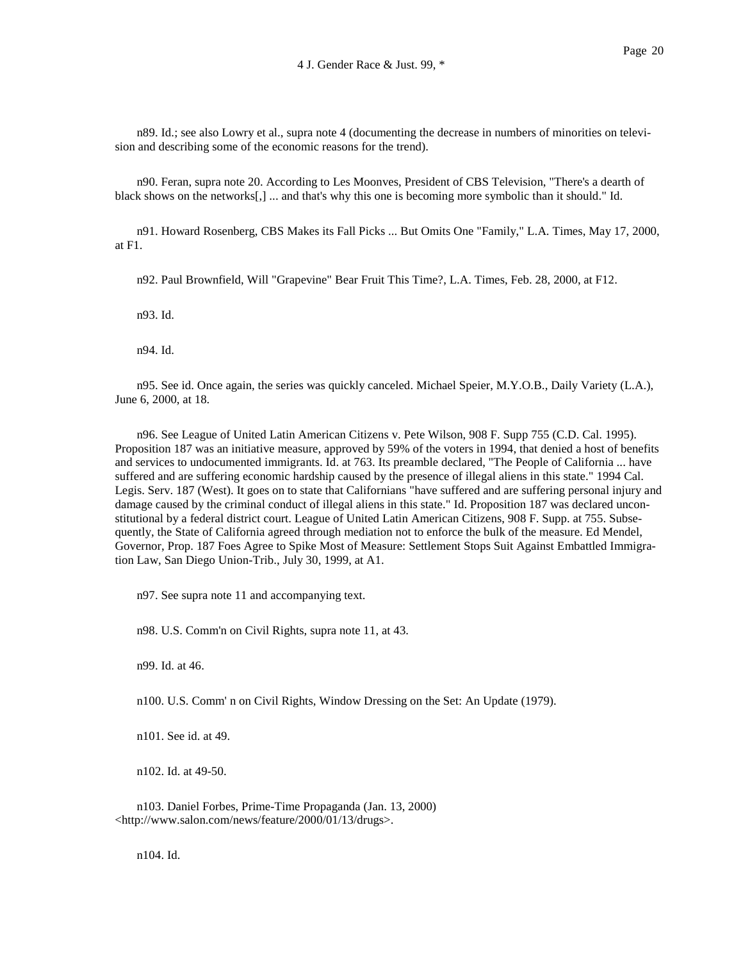n89. Id.; see also Lowry et al., supra note 4 (documenting the decrease in numbers of minorities on television and describing some of the economic reasons for the trend).

n90. Feran, supra note 20. According to Les Moonves, President of CBS Television, "There's a dearth of black shows on the networks[,] ... and that's why this one is becoming more symbolic than it should." Id.

n91. Howard Rosenberg, CBS Makes its Fall Picks ... But Omits One "Family," L.A. Times, May 17, 2000, at F1.

n92. Paul Brownfield, Will "Grapevine" Bear Fruit This Time?, L.A. Times, Feb. 28, 2000, at F12.

n93. Id.

n94. Id.

n95. See id. Once again, the series was quickly canceled. Michael Speier, M.Y.O.B., Daily Variety (L.A.), June 6, 2000, at 18.

n96. See League of United Latin American Citizens v. Pete Wilson, 908 F. Supp 755 (C.D. Cal. 1995). Proposition 187 was an initiative measure, approved by 59% of the voters in 1994, that denied a host of benefits and services to undocumented immigrants. Id. at 763. Its preamble declared, "The People of California ... have suffered and are suffering economic hardship caused by the presence of illegal aliens in this state." 1994 Cal. Legis. Serv. 187 (West). It goes on to state that Californians "have suffered and are suffering personal injury and damage caused by the criminal conduct of illegal aliens in this state." Id. Proposition 187 was declared unconstitutional by a federal district court. League of United Latin American Citizens, 908 F. Supp. at 755. Subsequently, the State of California agreed through mediation not to enforce the bulk of the measure. Ed Mendel, Governor, Prop. 187 Foes Agree to Spike Most of Measure: Settlement Stops Suit Against Embattled Immigration Law, San Diego Union-Trib., July 30, 1999, at A1.

n97. See supra note 11 and accompanying text.

n98. U.S. Comm'n on Civil Rights, supra note 11, at 43.

n99. Id. at 46.

n100. U.S. Comm' n on Civil Rights, Window Dressing on the Set: An Update (1979).

n101. See id. at 49.

n102. Id. at 49-50.

n103. Daniel Forbes, Prime-Time Propaganda (Jan. 13, 2000) <http://www.salon.com/news/feature/2000/01/13/drugs>.

n104. Id.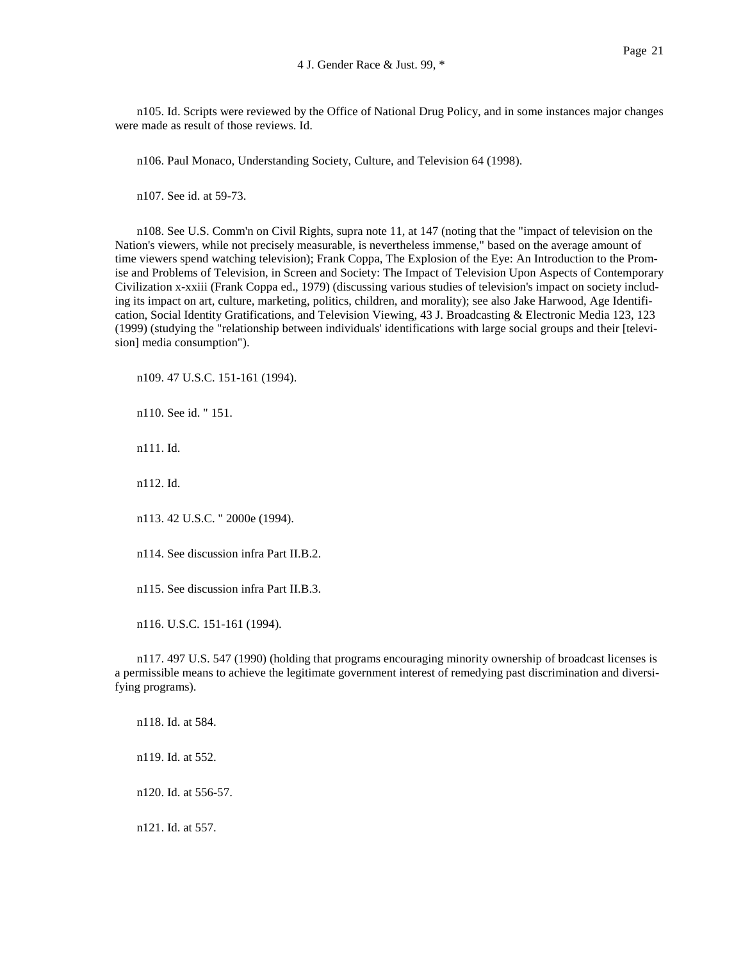n105. Id. Scripts were reviewed by the Office of National Drug Policy, and in some instances major changes were made as result of those reviews. Id.

n106. Paul Monaco, Understanding Society, Culture, and Television 64 (1998).

n107. See id. at 59-73.

n108. See U.S. Comm'n on Civil Rights, supra note 11, at 147 (noting that the "impact of television on the Nation's viewers, while not precisely measurable, is nevertheless immense," based on the average amount of time viewers spend watching television); Frank Coppa, The Explosion of the Eye: An Introduction to the Promise and Problems of Television, in Screen and Society: The Impact of Television Upon Aspects of Contemporary Civilization x-xxiii (Frank Coppa ed., 1979) (discussing various studies of television's impact on society including its impact on art, culture, marketing, politics, children, and morality); see also Jake Harwood, Age Identification, Social Identity Gratifications, and Television Viewing, 43 J. Broadcasting & Electronic Media 123, 123 (1999) (studying the "relationship between individuals' identifications with large social groups and their [television] media consumption").

n109. 47 U.S.C. 151-161 (1994).

n110. See id. " 151.

n111. Id.

n112. Id.

n113. 42 U.S.C. " 2000e (1994).

n114. See discussion infra Part II.B.2.

n115. See discussion infra Part II.B.3.

n116. U.S.C. 151-161 (1994).

n117. 497 U.S. 547 (1990) (holding that programs encouraging minority ownership of broadcast licenses is a permissible means to achieve the legitimate government interest of remedying past discrimination and diversifying programs).

n118. Id. at 584. n119. Id. at 552. n120. Id. at 556-57. n121. Id. at 557.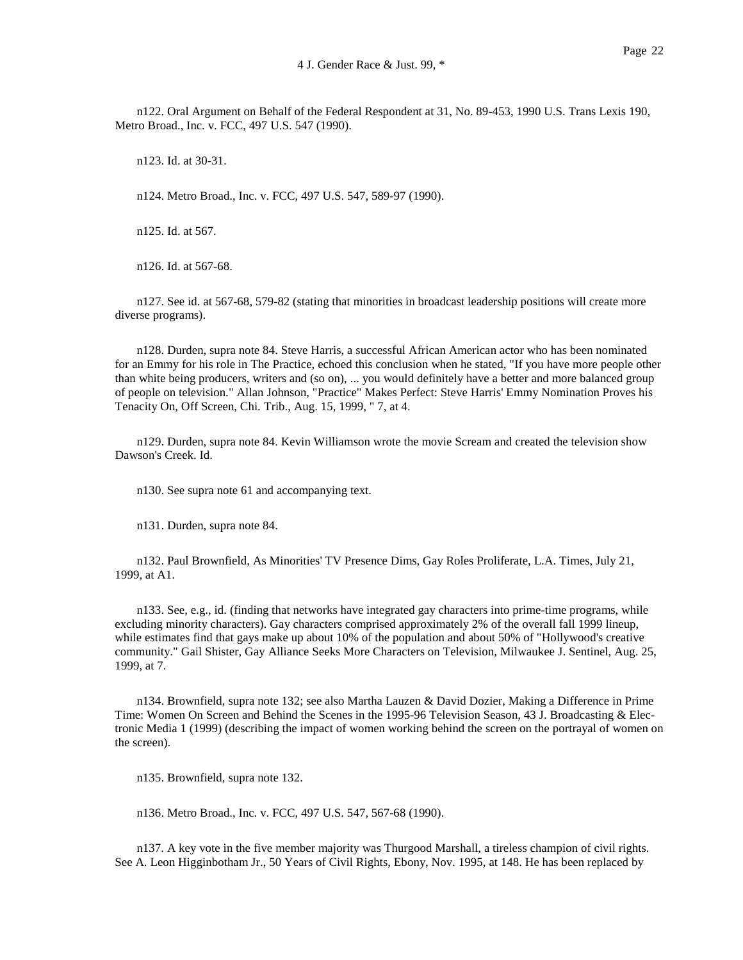n122. Oral Argument on Behalf of the Federal Respondent at 31, No. 89-453, 1990 U.S. Trans Lexis 190, Metro Broad., Inc. v. FCC, 497 U.S. 547 (1990).

n123. Id. at 30-31.

n124. Metro Broad., Inc. v. FCC, 497 U.S. 547, 589-97 (1990).

n125. Id. at 567.

n126. Id. at 567-68.

n127. See id. at 567-68, 579-82 (stating that minorities in broadcast leadership positions will create more diverse programs).

n128. Durden, supra note 84. Steve Harris, a successful African American actor who has been nominated for an Emmy for his role in The Practice, echoed this conclusion when he stated, "If you have more people other than white being producers, writers and (so on), ... you would definitely have a better and more balanced group of people on television." Allan Johnson, "Practice" Makes Perfect: Steve Harris' Emmy Nomination Proves his Tenacity On, Off Screen, Chi. Trib., Aug. 15, 1999, " 7, at 4.

n129. Durden, supra note 84. Kevin Williamson wrote the movie Scream and created the television show Dawson's Creek. Id.

n130. See supra note 61 and accompanying text.

n131. Durden, supra note 84.

n132. Paul Brownfield, As Minorities' TV Presence Dims, Gay Roles Proliferate, L.A. Times, July 21, 1999, at A1.

n133. See, e.g., id. (finding that networks have integrated gay characters into prime-time programs, while excluding minority characters). Gay characters comprised approximately 2% of the overall fall 1999 lineup, while estimates find that gays make up about 10% of the population and about 50% of "Hollywood's creative community." Gail Shister, Gay Alliance Seeks More Characters on Television, Milwaukee J. Sentinel, Aug. 25, 1999, at 7.

n134. Brownfield, supra note 132; see also Martha Lauzen & David Dozier, Making a Difference in Prime Time: Women On Screen and Behind the Scenes in the 1995-96 Television Season, 43 J. Broadcasting & Electronic Media 1 (1999) (describing the impact of women working behind the screen on the portrayal of women on the screen).

n135. Brownfield, supra note 132.

n136. Metro Broad., Inc. v. FCC, 497 U.S. 547, 567-68 (1990).

n137. A key vote in the five member majority was Thurgood Marshall, a tireless champion of civil rights. See A. Leon Higginbotham Jr., 50 Years of Civil Rights, Ebony, Nov. 1995, at 148. He has been replaced by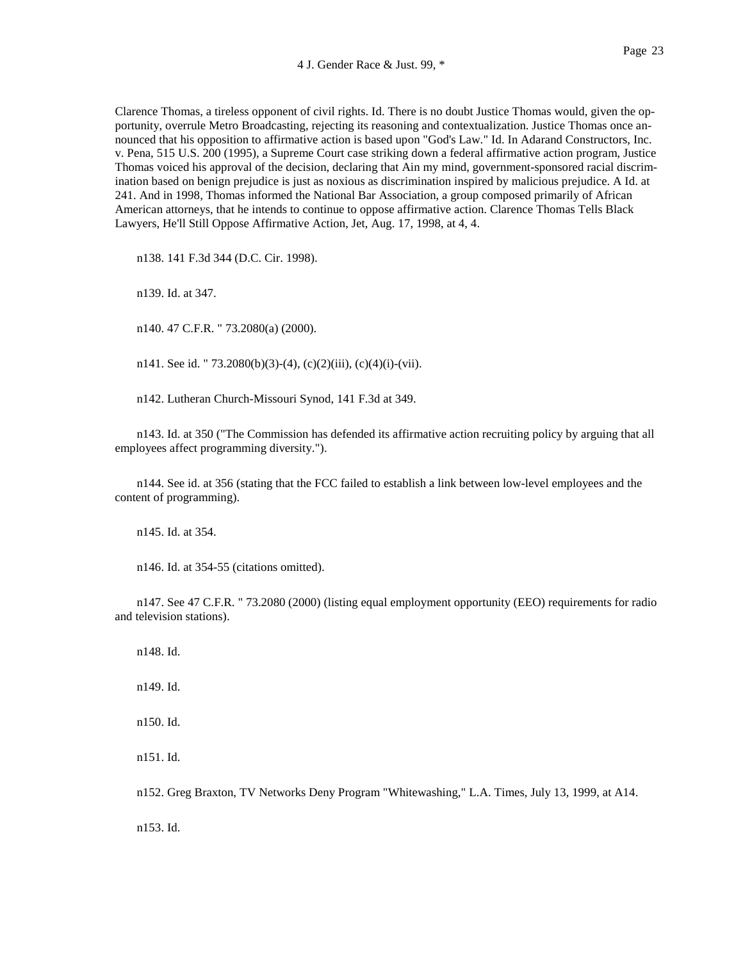Clarence Thomas, a tireless opponent of civil rights. Id. There is no doubt Justice Thomas would, given the opportunity, overrule Metro Broadcasting, rejecting its reasoning and contextualization. Justice Thomas once announced that his opposition to affirmative action is based upon "God's Law." Id. In Adarand Constructors, Inc. v. Pena, 515 U.S. 200 (1995), a Supreme Court case striking down a federal affirmative action program, Justice Thomas voiced his approval of the decision, declaring that Ain my mind, government-sponsored racial discrimination based on benign prejudice is just as noxious as discrimination inspired by malicious prejudice. A Id. at 241. And in 1998, Thomas informed the National Bar Association, a group composed primarily of African American attorneys, that he intends to continue to oppose affirmative action. Clarence Thomas Tells Black Lawyers, He'll Still Oppose Affirmative Action, Jet, Aug. 17, 1998, at 4, 4.

n138. 141 F.3d 344 (D.C. Cir. 1998).

n139. Id. at 347.

n140. 47 C.F.R. " 73.2080(a) (2000).

n141. See id. " 73.2080(b)(3)-(4), (c)(2)(iii), (c)(4)(i)-(vii).

n142. Lutheran Church-Missouri Synod, 141 F.3d at 349.

n143. Id. at 350 ("The Commission has defended its affirmative action recruiting policy by arguing that all employees affect programming diversity.").

n144. See id. at 356 (stating that the FCC failed to establish a link between low-level employees and the content of programming).

n145. Id. at 354.

n146. Id. at 354-55 (citations omitted).

n147. See 47 C.F.R. " 73.2080 (2000) (listing equal employment opportunity (EEO) requirements for radio and television stations).

n148. Id.

n149. Id.

n150. Id.

n151. Id.

n152. Greg Braxton, TV Networks Deny Program "Whitewashing," L.A. Times, July 13, 1999, at A14.

n153. Id.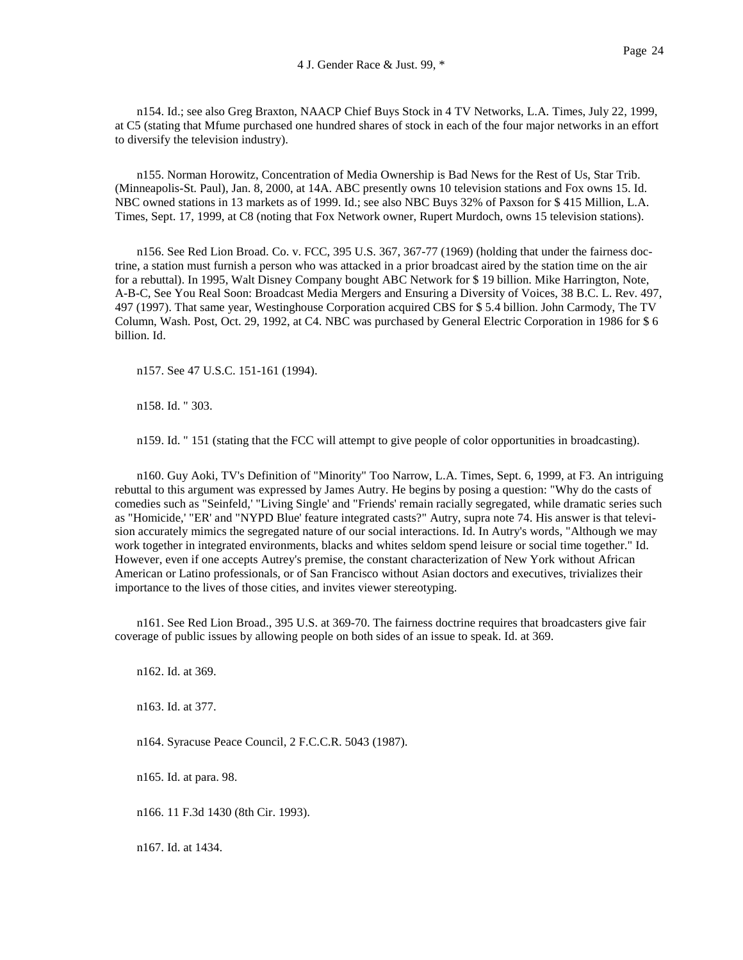n154. Id.; see also Greg Braxton, NAACP Chief Buys Stock in 4 TV Networks, L.A. Times, July 22, 1999, at C5 (stating that Mfume purchased one hundred shares of stock in each of the four major networks in an effort to diversify the television industry).

n155. Norman Horowitz, Concentration of Media Ownership is Bad News for the Rest of Us, Star Trib. (Minneapolis-St. Paul), Jan. 8, 2000, at 14A. ABC presently owns 10 television stations and Fox owns 15. Id. NBC owned stations in 13 markets as of 1999. Id.; see also NBC Buys 32% of Paxson for \$ 415 Million, L.A. Times, Sept. 17, 1999, at C8 (noting that Fox Network owner, Rupert Murdoch, owns 15 television stations).

n156. See Red Lion Broad. Co. v. FCC, 395 U.S. 367, 367-77 (1969) (holding that under the fairness doctrine, a station must furnish a person who was attacked in a prior broadcast aired by the station time on the air for a rebuttal). In 1995, Walt Disney Company bought ABC Network for \$ 19 billion. Mike Harrington, Note, A-B-C, See You Real Soon: Broadcast Media Mergers and Ensuring a Diversity of Voices, 38 B.C. L. Rev. 497, 497 (1997). That same year, Westinghouse Corporation acquired CBS for \$ 5.4 billion. John Carmody, The TV Column, Wash. Post, Oct. 29, 1992, at C4. NBC was purchased by General Electric Corporation in 1986 for \$ 6 billion. Id.

n157. See 47 U.S.C. 151-161 (1994).

n158. Id. " 303.

n159. Id. " 151 (stating that the FCC will attempt to give people of color opportunities in broadcasting).

n160. Guy Aoki, TV's Definition of "Minority" Too Narrow, L.A. Times, Sept. 6, 1999, at F3. An intriguing rebuttal to this argument was expressed by James Autry. He begins by posing a question: "Why do the casts of comedies such as "Seinfeld,' "Living Single' and "Friends' remain racially segregated, while dramatic series such as "Homicide,' "ER' and "NYPD Blue' feature integrated casts?" Autry, supra note 74. His answer is that television accurately mimics the segregated nature of our social interactions. Id. In Autry's words, "Although we may work together in integrated environments, blacks and whites seldom spend leisure or social time together." Id. However, even if one accepts Autrey's premise, the constant characterization of New York without African American or Latino professionals, or of San Francisco without Asian doctors and executives, trivializes their importance to the lives of those cities, and invites viewer stereotyping.

n161. See Red Lion Broad., 395 U.S. at 369-70. The fairness doctrine requires that broadcasters give fair coverage of public issues by allowing people on both sides of an issue to speak. Id. at 369.

n162. Id. at 369.

n163. Id. at 377.

n164. Syracuse Peace Council, 2 F.C.C.R. 5043 (1987).

n165. Id. at para. 98.

n166. 11 F.3d 1430 (8th Cir. 1993).

n167. Id. at 1434.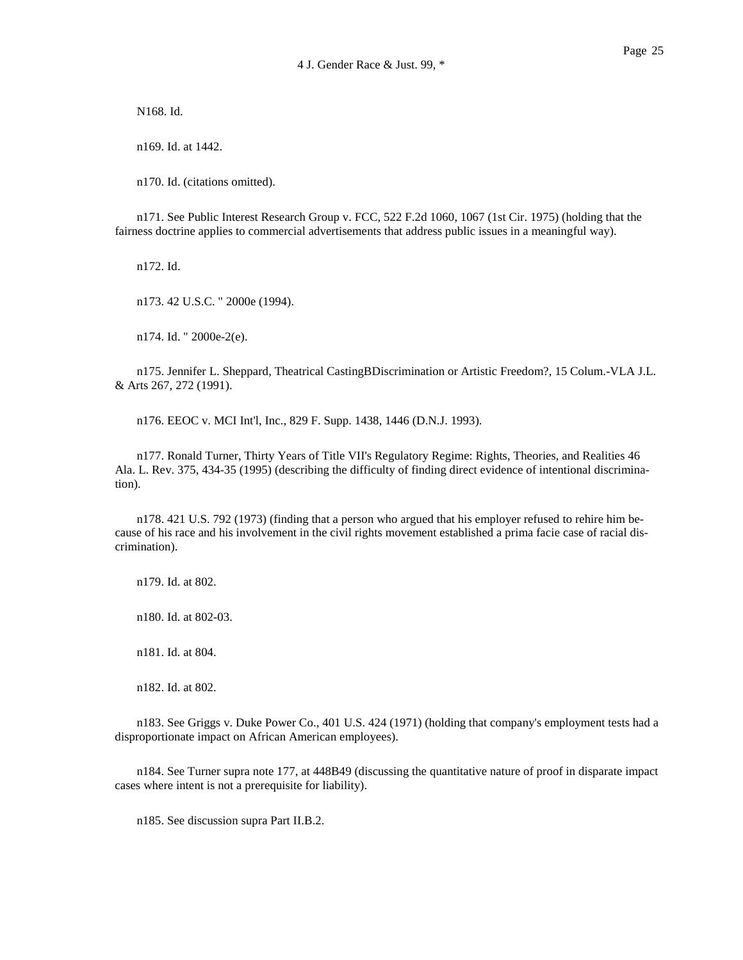N168. Id.

n169. Id. at 1442.

n170. Id. (citations omitted).

n171. See Public Interest Research Group v. FCC, 522 F.2d 1060, 1067 (1st Cir. 1975) (holding that the fairness doctrine applies to commercial advertisements that address public issues in a meaningful way).

n172. Id.

n173. 42 U.S.C. " 2000e (1994).

n174. Id. " 2000e-2(e).

n175. Jennifer L. Sheppard, Theatrical CastingBDiscrimination or Artistic Freedom?, 15 Colum.-VLA J.L. & Arts 267, 272 (1991).

n176. EEOC v. MCI Int'l, Inc., 829 F. Supp. 1438, 1446 (D.N.J. 1993).

n177. Ronald Turner, Thirty Years of Title VII's Regulatory Regime: Rights, Theories, and Realities 46 Ala. L. Rev. 375, 434-35 (1995) (describing the difficulty of finding direct evidence of intentional discrimination).

n178. 421 U.S. 792 (1973) (finding that a person who argued that his employer refused to rehire him because of his race and his involvement in the civil rights movement established a prima facie case of racial discrimination).

n179. Id. at 802.

n180. Id. at 802-03.

n181. Id. at 804.

n182. Id. at 802.

n183. See Griggs v. Duke Power Co., 401 U.S. 424 (1971) (holding that company's employment tests had a disproportionate impact on African American employees).

n184. See Turner supra note 177, at 448B49 (discussing the quantitative nature of proof in disparate impact cases where intent is not a prerequisite for liability).

n185. See discussion supra Part II.B.2.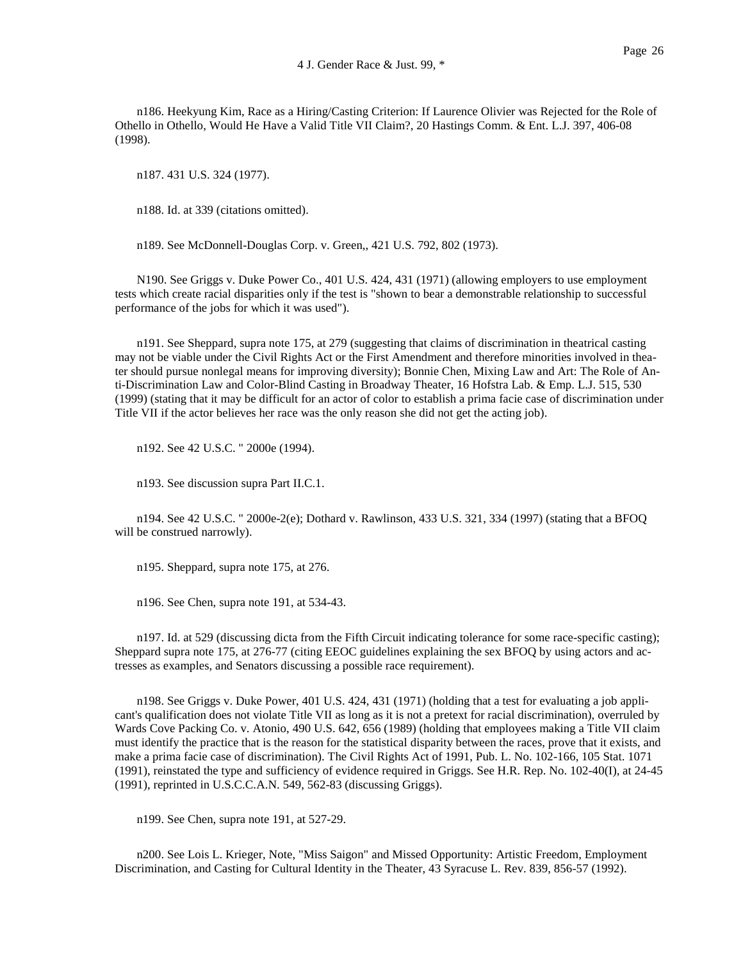n186. Heekyung Kim, Race as a Hiring/Casting Criterion: If Laurence Olivier was Rejected for the Role of Othello in Othello, Would He Have a Valid Title VII Claim?, 20 Hastings Comm. & Ent. L.J. 397, 406-08 (1998).

n187. 431 U.S. 324 (1977).

n188. Id. at 339 (citations omitted).

n189. See McDonnell-Douglas Corp. v. Green,, 421 U.S. 792, 802 (1973).

N190. See Griggs v. Duke Power Co., 401 U.S. 424, 431 (1971) (allowing employers to use employment tests which create racial disparities only if the test is "shown to bear a demonstrable relationship to successful performance of the jobs for which it was used").

n191. See Sheppard, supra note 175, at 279 (suggesting that claims of discrimination in theatrical casting may not be viable under the Civil Rights Act or the First Amendment and therefore minorities involved in theater should pursue nonlegal means for improving diversity); Bonnie Chen, Mixing Law and Art: The Role of Anti-Discrimination Law and Color-Blind Casting in Broadway Theater, 16 Hofstra Lab. & Emp. L.J. 515, 530 (1999) (stating that it may be difficult for an actor of color to establish a prima facie case of discrimination under Title VII if the actor believes her race was the only reason she did not get the acting job).

n192. See 42 U.S.C. " 2000e (1994).

n193. See discussion supra Part II.C.1.

n194. See 42 U.S.C. " 2000e-2(e); Dothard v. Rawlinson, 433 U.S. 321, 334 (1997) (stating that a BFOQ will be construed narrowly).

n195. Sheppard, supra note 175, at 276.

n196. See Chen, supra note 191, at 534-43.

n197. Id. at 529 (discussing dicta from the Fifth Circuit indicating tolerance for some race-specific casting); Sheppard supra note 175, at 276-77 (citing EEOC guidelines explaining the sex BFOQ by using actors and actresses as examples, and Senators discussing a possible race requirement).

n198. See Griggs v. Duke Power, 401 U.S. 424, 431 (1971) (holding that a test for evaluating a job applicant's qualification does not violate Title VII as long as it is not a pretext for racial discrimination), overruled by Wards Cove Packing Co. v. Atonio, 490 U.S. 642, 656 (1989) (holding that employees making a Title VII claim must identify the practice that is the reason for the statistical disparity between the races, prove that it exists, and make a prima facie case of discrimination). The Civil Rights Act of 1991, Pub. L. No. 102-166, 105 Stat. 1071 (1991), reinstated the type and sufficiency of evidence required in Griggs. See H.R. Rep. No. 102-40(I), at 24-45 (1991), reprinted in U.S.C.C.A.N. 549, 562-83 (discussing Griggs).

n199. See Chen, supra note 191, at 527-29.

n200. See Lois L. Krieger, Note, "Miss Saigon" and Missed Opportunity: Artistic Freedom, Employment Discrimination, and Casting for Cultural Identity in the Theater, 43 Syracuse L. Rev. 839, 856-57 (1992).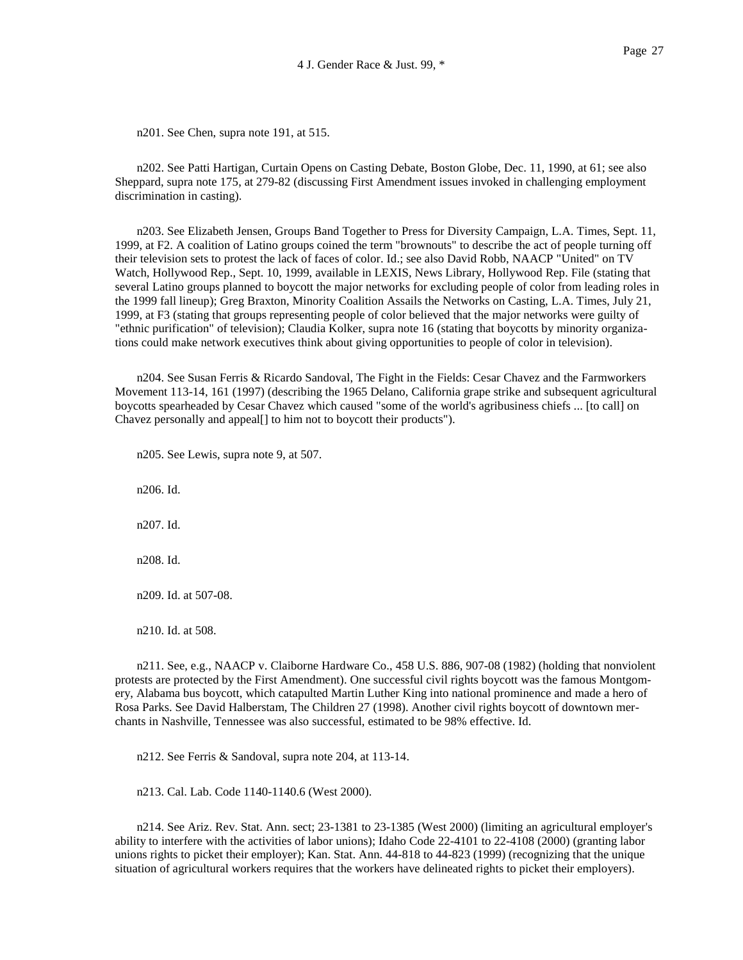n201. See Chen, supra note 191, at 515.

n202. See Patti Hartigan, Curtain Opens on Casting Debate, Boston Globe, Dec. 11, 1990, at 61; see also Sheppard, supra note 175, at 279-82 (discussing First Amendment issues invoked in challenging employment discrimination in casting).

n203. See Elizabeth Jensen, Groups Band Together to Press for Diversity Campaign, L.A. Times, Sept. 11, 1999, at F2. A coalition of Latino groups coined the term "brownouts" to describe the act of people turning off their television sets to protest the lack of faces of color. Id.; see also David Robb, NAACP "United" on TV Watch, Hollywood Rep., Sept. 10, 1999, available in LEXIS, News Library, Hollywood Rep. File (stating that several Latino groups planned to boycott the major networks for excluding people of color from leading roles in the 1999 fall lineup); Greg Braxton, Minority Coalition Assails the Networks on Casting, L.A. Times, July 21, 1999, at F3 (stating that groups representing people of color believed that the major networks were guilty of "ethnic purification" of television); Claudia Kolker, supra note 16 (stating that boycotts by minority organizations could make network executives think about giving opportunities to people of color in television).

n204. See Susan Ferris & Ricardo Sandoval, The Fight in the Fields: Cesar Chavez and the Farmworkers Movement 113-14, 161 (1997) (describing the 1965 Delano, California grape strike and subsequent agricultural boycotts spearheaded by Cesar Chavez which caused "some of the world's agribusiness chiefs ... [to call] on Chavez personally and appeal[] to him not to boycott their products").

n205. See Lewis, supra note 9, at 507.

n206. Id. n207. Id. n208. Id. n209. Id. at 507-08.

n210. Id. at 508.

n211. See, e.g., NAACP v. Claiborne Hardware Co., 458 U.S. 886, 907-08 (1982) (holding that nonviolent protests are protected by the First Amendment). One successful civil rights boycott was the famous Montgomery, Alabama bus boycott, which catapulted Martin Luther King into national prominence and made a hero of Rosa Parks. See David Halberstam, The Children 27 (1998). Another civil rights boycott of downtown merchants in Nashville, Tennessee was also successful, estimated to be 98% effective. Id.

n212. See Ferris & Sandoval, supra note 204, at 113-14.

n213. Cal. Lab. Code 1140-1140.6 (West 2000).

n214. See Ariz. Rev. Stat. Ann. sect; 23-1381 to 23-1385 (West 2000) (limiting an agricultural employer's ability to interfere with the activities of labor unions); Idaho Code 22-4101 to 22-4108 (2000) (granting labor unions rights to picket their employer); Kan. Stat. Ann. 44-818 to 44-823 (1999) (recognizing that the unique situation of agricultural workers requires that the workers have delineated rights to picket their employers).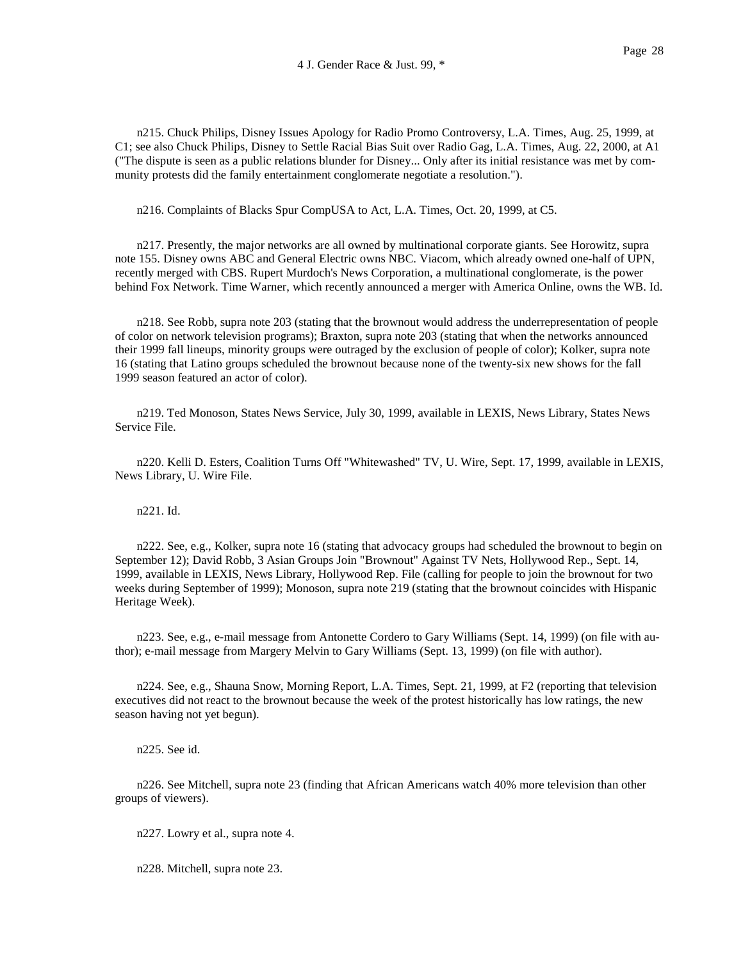n215. Chuck Philips, Disney Issues Apology for Radio Promo Controversy, L.A. Times, Aug. 25, 1999, at C1; see also Chuck Philips, Disney to Settle Racial Bias Suit over Radio Gag, L.A. Times, Aug. 22, 2000, at A1 ("The dispute is seen as a public relations blunder for Disney... Only after its initial resistance was met by community protests did the family entertainment conglomerate negotiate a resolution.").

n216. Complaints of Blacks Spur CompUSA to Act, L.A. Times, Oct. 20, 1999, at C5.

n217. Presently, the major networks are all owned by multinational corporate giants. See Horowitz, supra note 155. Disney owns ABC and General Electric owns NBC. Viacom, which already owned one-half of UPN, recently merged with CBS. Rupert Murdoch's News Corporation, a multinational conglomerate, is the power behind Fox Network. Time Warner, which recently announced a merger with America Online, owns the WB. Id.

n218. See Robb, supra note 203 (stating that the brownout would address the underrepresentation of people of color on network television programs); Braxton, supra note 203 (stating that when the networks announced their 1999 fall lineups, minority groups were outraged by the exclusion of people of color); Kolker, supra note 16 (stating that Latino groups scheduled the brownout because none of the twenty-six new shows for the fall 1999 season featured an actor of color).

n219. Ted Monoson, States News Service, July 30, 1999, available in LEXIS, News Library, States News Service File.

n220. Kelli D. Esters, Coalition Turns Off "Whitewashed" TV, U. Wire, Sept. 17, 1999, available in LEXIS, News Library, U. Wire File.

n221. Id.

n222. See, e.g., Kolker, supra note 16 (stating that advocacy groups had scheduled the brownout to begin on September 12); David Robb, 3 Asian Groups Join "Brownout" Against TV Nets, Hollywood Rep., Sept. 14, 1999, available in LEXIS, News Library, Hollywood Rep. File (calling for people to join the brownout for two weeks during September of 1999); Monoson, supra note 219 (stating that the brownout coincides with Hispanic Heritage Week).

n223. See, e.g., e-mail message from Antonette Cordero to Gary Williams (Sept. 14, 1999) (on file with author); e-mail message from Margery Melvin to Gary Williams (Sept. 13, 1999) (on file with author).

n224. See, e.g., Shauna Snow, Morning Report, L.A. Times, Sept. 21, 1999, at F2 (reporting that television executives did not react to the brownout because the week of the protest historically has low ratings, the new season having not yet begun).

n225. See id.

n226. See Mitchell, supra note 23 (finding that African Americans watch 40% more television than other groups of viewers).

n227. Lowry et al., supra note 4.

n228. Mitchell, supra note 23.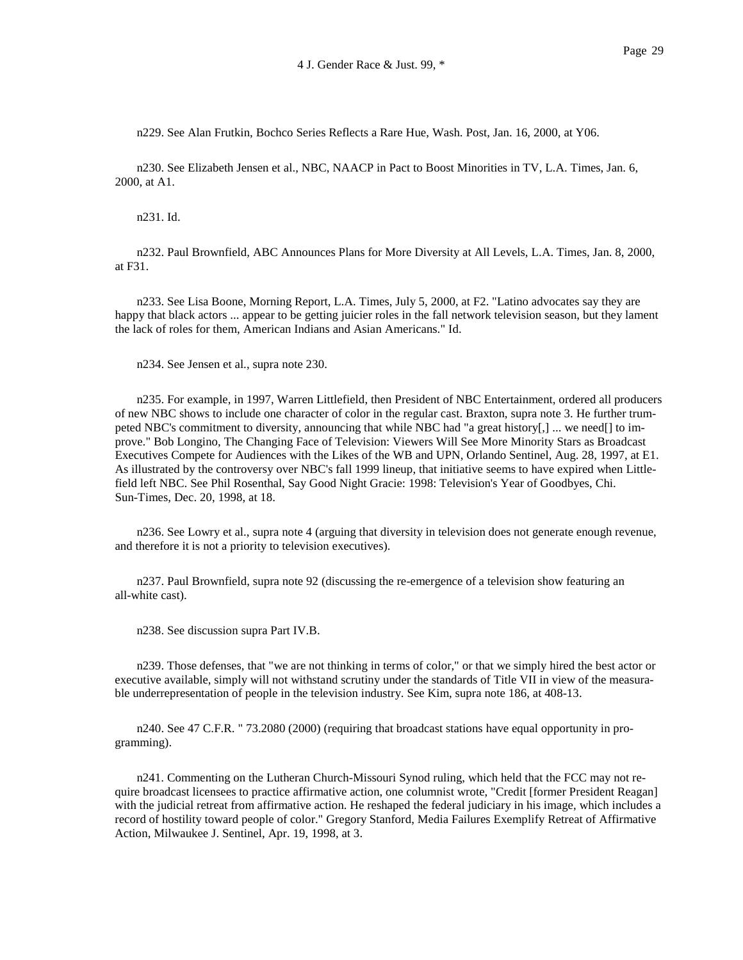n229. See Alan Frutkin, Bochco Series Reflects a Rare Hue, Wash. Post, Jan. 16, 2000, at Y06.

n230. See Elizabeth Jensen et al., NBC, NAACP in Pact to Boost Minorities in TV, L.A. Times, Jan. 6, 2000, at A1.

n231. Id.

n232. Paul Brownfield, ABC Announces Plans for More Diversity at All Levels, L.A. Times, Jan. 8, 2000, at F31.

n233. See Lisa Boone, Morning Report, L.A. Times, July 5, 2000, at F2. "Latino advocates say they are happy that black actors ... appear to be getting juicier roles in the fall network television season, but they lament the lack of roles for them, American Indians and Asian Americans." Id.

n234. See Jensen et al., supra note 230.

n235. For example, in 1997, Warren Littlefield, then President of NBC Entertainment, ordered all producers of new NBC shows to include one character of color in the regular cast. Braxton, supra note 3. He further trumpeted NBC's commitment to diversity, announcing that while NBC had "a great history[,] ... we need[] to improve." Bob Longino, The Changing Face of Television: Viewers Will See More Minority Stars as Broadcast Executives Compete for Audiences with the Likes of the WB and UPN, Orlando Sentinel, Aug. 28, 1997, at E1. As illustrated by the controversy over NBC's fall 1999 lineup, that initiative seems to have expired when Littlefield left NBC. See Phil Rosenthal, Say Good Night Gracie: 1998: Television's Year of Goodbyes, Chi. Sun-Times, Dec. 20, 1998, at 18.

n236. See Lowry et al., supra note 4 (arguing that diversity in television does not generate enough revenue, and therefore it is not a priority to television executives).

n237. Paul Brownfield, supra note 92 (discussing the re-emergence of a television show featuring an all-white cast).

n238. See discussion supra Part IV.B.

n239. Those defenses, that "we are not thinking in terms of color," or that we simply hired the best actor or executive available, simply will not withstand scrutiny under the standards of Title VII in view of the measurable underrepresentation of people in the television industry. See Kim, supra note 186, at 408-13.

n240. See 47 C.F.R. " 73.2080 (2000) (requiring that broadcast stations have equal opportunity in programming).

n241. Commenting on the Lutheran Church-Missouri Synod ruling, which held that the FCC may not require broadcast licensees to practice affirmative action, one columnist wrote, "Credit [former President Reagan] with the judicial retreat from affirmative action. He reshaped the federal judiciary in his image, which includes a record of hostility toward people of color." Gregory Stanford, Media Failures Exemplify Retreat of Affirmative Action, Milwaukee J. Sentinel, Apr. 19, 1998, at 3.